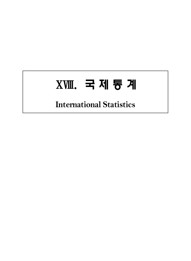# ⅩⅧ. 국제통계

## **International Statistics**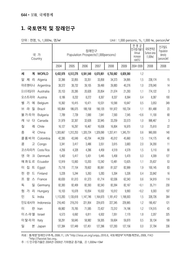#### **1. 국토면적 및 장래인구**

단위 : 천명, %, 1,000 ha, 명/㎢ (http://www.com/witidegrad/witidegrad/witidegrad/witidegrad/witidegrad/witidegrad/wi

|              | 국 가<br>Country  |           |           | 장래인구<br>Population Prospects(1,000persons) |           | 연평균<br>인구증가율1<br>Annual<br>increase<br>$rate(\%)$ | 국토면적2)<br>Surface area<br>(1,000 <sub>ha</sub> ) | 인구밀도<br>Population<br>density<br>(persons/km <sup>2</sup> ) |         |            |
|--------------|-----------------|-----------|-----------|--------------------------------------------|-----------|---------------------------------------------------|--------------------------------------------------|-------------------------------------------------------------|---------|------------|
|              |                 | 2004      | 2005      | 2006                                       | 2007      | 2008                                              | 2009                                             | 2004~2009                                                   | 2008    | 2008       |
| 세<br>계       | <b>WORLD</b>    | 6,432,978 | 6,512,276 | 6,591,548                                  | 6,670,801 | 6,750,062                                         | 6,829,360                                        | 1.2                                                         |         |            |
| 제<br>알<br>리  | Algeria         | 32,366    | 32,855    | 33,351                                     | 33,858    | 34,373                                            | 34,895                                           | 1.5                                                         | 238,174 | 15         |
| 아르헨티나        | Argentina       | 38,372    | 38,732    | 39,105                                     | 39,490    | 39,883                                            | 40,276                                           | 1.0                                                         | 278,040 | 14         |
| 오스트레일리아      | Australia       | 20,153    | 20,395    | 20,628                                     | 20,854    | 21,074                                            | 21,293                                           | 1.1                                                         | 774,122 | 3          |
| 오스트리아        | Austria         | 8,186     | 8,232     | 8,272                                      | 8,307     | 8,337                                             | 8,364                                            | 0.4                                                         | 8,387   | 100        |
| 벨<br>기<br>에  | Belgium         | 10,362    | 10,415    | 10,471                                     | 10,531    | 10,590                                            | 10,647                                           | 0.5                                                         | 3,053   | 349        |
| 라<br>질<br>브  | <b>Brazil</b>   | 183,864   | 186,075   | 188,158                                    | 190,120   | 191,972                                           | 193,734                                          | 1.1                                                         | 851,488 | 23         |
| 불가리아         | Bulgaria        | 7,789     | 7,739     | 7,690                                      | 7,641     | 7,593                                             | 7,545                                            | $-0.6$                                                      | 11,100  | 68         |
| 개<br>나<br>다  | Canada          | 31,979    | 32,307    | 32,628                                     | 32,945    | 33,259                                            | 33,573                                           | 1.0                                                         | 998,467 | $\sqrt{3}$ |
| 칠<br>레       | Chile           | 16,127    | 16,297    | 16,467                                     | 16,636    | 16,804                                            | 16,970                                           | 1.0                                                         | 75,610  | 22         |
| 중<br>국       | China           | 1,303,667 | 1,312,253 | 1,320,724                                  | 1,329,090 | 1,337,411                                         | 1,345,751                                        | 0.6                                                         | 960,000 | 140        |
| 콜롬비아         | Colombia        | 42,395    | 43,049    | 43,704                                     | 44,359    | 45,012                                            | 45,660                                           | 1.5                                                         | 114,175 | 40         |
| 콩<br>고       | Congo           | 3,341     | 3,417     | 3,486                                      | 3,551     | 3,615                                             | 3,683                                            | 2.0                                                         | 34,200  | 11         |
| 코스타리카        | Costa Rica      | 4,256     | 4,328     | 4,396                                      | 4,459     | 4,519                                             | 4,579                                            | 1.5                                                         | 5,110   | 90         |
| 덴<br>마<br>三  | Denmark         | 5,402     | 5,417     | 5,431                                      | 5,445     | 5,458                                             | 5,470                                            | 0.3                                                         | 4,309   | 127        |
| 에콰도르         | Ecuador         | 12,919    | 13,063    | 13,203                                     | 13,342    | 13,481                                            | 13,625                                           | 1.1                                                         | 25,637  | 53         |
| 0 <br>집<br>트 | Egypt           | 75,718    | 77,154    | 78,602                                     | 80,061    | 81,527                                            | 82,999                                           | 1.9                                                         | 100,145 | 83         |
| 핀<br>란<br>트  | Finland         | 5,228     | 5,244     | 5,263                                      | 5,283     | 5,304                                             | 5,326                                            | 0.4                                                         | 33,842  | 16         |
| 프<br>랑<br>스  | France          | 60,630    | 61,013    | 61,373                                     | 61,714    | 62,036                                            | 62,343                                           | 0.6                                                         | 54,919  | 114        |
| 일<br>독       | Germany         | 82,383    | 82,409    | 82,393                                     | 82,343    | 82,264                                            | 82,167                                           | $-0.1$                                                      | 35,711  | 230        |
| 헝<br>가<br>리  | Hungary         | 10,103    | 10,078    | 10,054                                     | 10,032    | 10,012                                            | 9,993                                            | $-0.2$                                                      | 9,303   | 107        |
| 인<br>도       | India           | 1,113,283 | 1,130,618 | 1,147,746                                  | 1,164,670 | 1,181,412                                         | 1,198,003                                        | 1.5                                                         | 328,726 | 364        |
|              | 인도네시아 Indonesia | 216,443   | 219,210   | 221,954                                    | 224,670   | 227,345                                           | 229,965                                          | 1.2                                                         | 190,457 | 121        |
| 0 <br>란      | Iran            | 69,982    | 70,765    | 71,585                                     | 72,437    | 73,312                                            | 74,196                                           | 1.2                                                         | 174,515 | $43\,$     |
| 이스라엘         | Israel          | 6,573     | 6,692     | 6,811                                      | 6,932     | 7,051                                             | 7,170                                            | 1.8                                                         | 2,207   | 325        |
| 이탈리아 Italy   |                 | 58,291    | 58,645    | 58,982                                     | 59,305    | 59,604                                            | 59,870                                           | 0.5                                                         | 30,134  | 199        |
| 일<br>본       | Japan           | 127,384   | 127,449   | 127,451                                    | 127,396   | 127,293                                           | 127,156                                          | $0.0\,$                                                     | 37,794  | 336        |

자료 : 통계청「장래인구추계」 2006.11, UN 「http://esa.un.org/unpp」 2010.6, 국토해양부「지적통계연보」 2009, FAO 「http://faostat.fao.org」

주 : 1) 인구증가율은 2004년~2009년 기하평균 증가율, 2) 1,000ha=10km<sup>2</sup>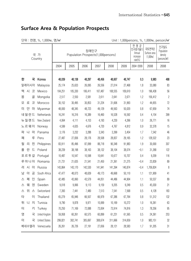|        | 단위 : 천명, %, 1,000ha, 명/㎢<br>Unit: 1,000 persons, %, 1,000 ha, person/km <sup>2</sup> |                 |                                                                                                                                                                                                                               |         |         |         |         |         |           |           |                          |
|--------|--------------------------------------------------------------------------------------|-----------------|-------------------------------------------------------------------------------------------------------------------------------------------------------------------------------------------------------------------------------|---------|---------|---------|---------|---------|-----------|-----------|--------------------------|
|        |                                                                                      | 국 가<br>Country  | 연평 균<br>인구밀도<br>인구증가율1)<br>국토면적2)<br>장래인구<br>Population<br>Surface area<br>Annual<br>Population Prospects(1,000persons)<br>density<br><i><b>Increase</b></i><br>$(1,000 \text{ ha})$<br>(persons/km <sup>2</sup> )<br>rate(%) |         |         |         |         |         |           |           |                          |
|        |                                                                                      |                 | 2004                                                                                                                                                                                                                          | 2005    | 2006    | 2007    | 2008    | 2009    | 2004~2009 | 2008      | 2008                     |
|        |                                                                                      |                 |                                                                                                                                                                                                                               |         |         |         |         |         |           |           |                          |
| 한      | 국                                                                                    | Korea           | 48,039                                                                                                                                                                                                                        | 48,138  | 48,297  | 48,456  | 48,607  | 48,747  | 0.3       | 9,983     | 488                      |
| 말레이시아  |                                                                                      | Malaysia        | 25,174                                                                                                                                                                                                                        | 25,633  | 26,095  | 26,556  | 27,014  | 27,468  | 1.8       | 33,080    | 83                       |
| 멕<br>시 | 코                                                                                    | Mexico          | 104,251                                                                                                                                                                                                                       | 105,330 | 106,411 | 107,487 | 108,555 | 109,610 | 1.0       | 196,438   | 56                       |
| 몽      | 골                                                                                    | Mongolia        | 2,517                                                                                                                                                                                                                         | 2,550   | 2,581   | 2,611   | 2,641   | 2,671   | 1.2       | 156,412   | $\overline{c}$           |
| 로<br>모 | 코                                                                                    | Morocco         | 30,152                                                                                                                                                                                                                        | 30,495  | 30,853  | 31,224  | 31,606  | 31,993  | 1.2       | 44,655    | $72$                     |
| 얀<br>미 | 마                                                                                    | Myanmar         | 48,000                                                                                                                                                                                                                        | 48,345  | 48,723  | 49,129  | 49,563  | 50,020  | 0.8       | 67,659    | 74                       |
| 네덜란드   |                                                                                      | Netherlands     | 16,241                                                                                                                                                                                                                        | 16,316  | 16,389  | 16,460  | 16,528  | 16,592  | 0.4       | 4,154     | 399                      |
| 뉴질랜드   |                                                                                      | New Zealand     | 4,064                                                                                                                                                                                                                         | 4,111   | 4,153   | 4,193   | 4,230   | 4,266   | 1.0       | 26,771    | 16                       |
| 노르웨이   |                                                                                      | Norway          | 4,599                                                                                                                                                                                                                         | 4,635   | 4,676   | 4,720   | 4,767   | 4,812   | 0.9       | 32,378    | 15                       |
| 나<br>파 | 마                                                                                    | Panama          | 3,176                                                                                                                                                                                                                         | 3,232   | 3,288   | 3,343   | 3,399   | 3,454   | 1.7       | 7,542     | 46                       |
| 페      | 루                                                                                    | Peru            | 27,487                                                                                                                                                                                                                        | 27,836  | 28,176  | 28,508  | 28,837  | 29,165  | 1.2       | 128,522   | 23                       |
| 필<br>리 | 핀                                                                                    | Philippines     | 83,911                                                                                                                                                                                                                        | 85,496  | 87,099  | 88,718  | 90,348  | 91,983  | 1.9       | 30,000    | 307                      |
| 란<br>폴 | 트                                                                                    | Poland          | 38,239                                                                                                                                                                                                                        | 38,198  | 38,163  | 38,132  | 38,104  | 38,074  | $-0.1$    | 31,268    | 122                      |
| 포르투갈   |                                                                                      | Portugal        | 10,487                                                                                                                                                                                                                        | 10,547  | 10,598  | 10,641  | 10,677  | 10,707  | 0.4       | 9,209     | 116                      |
| 루마니아   |                                                                                      | Romania         | 21,731                                                                                                                                                                                                                        | 21,635  | 21,541  | 21,450  | 21,361  | 21,275  | $-0.4$    | 23,839    | 89                       |
| 시<br>러 | 아                                                                                    | Russia          | 143,864                                                                                                                                                                                                                       | 143,170 | 142,530 | 141,941 | 141,394 | 140,874 | $-0.4$    | 1,709,824 | $\boldsymbol{\vartheta}$ |
| 아<br>남 | 공                                                                                    | South Africa    | 47,477                                                                                                                                                                                                                        | 48,073  | 48,639  | 49,173  | 49,668  | 50,110  | 1.1       | 121,909   | $41$                     |
| 페<br>스 | 인                                                                                    | Spain           | 42,485                                                                                                                                                                                                                        | 43,060  | 43,579  | 44,051  | 44,486  | 44,904  | 1.1       | 50,537    | 89                       |
| 웨<br>스 | 덴                                                                                    | Sweden          | 9,018                                                                                                                                                                                                                         | 9,066   | 9,113   | 9,159   | 9,205   | 9,249   | 0.5       | 45,030    | 21                       |
| 위<br>스 | 스                                                                                    | Switzerland     | 7,393                                                                                                                                                                                                                         | 7,441   | 7,480   | 7,513   | 7,541   | 7,568   | 0.5       | 4,128     | 183                      |
| 타      | 0                                                                                    | Thailand        | 65,279                                                                                                                                                                                                                        | 65,946  | 66,507  | 66,979  | 67,386  | 67,764  | 0.8       | 51,312    | 132                      |
| 튀<br>Ц | 지                                                                                    | Tunisia         | 9,790                                                                                                                                                                                                                         | 9,878   | 9,971   | 10,069  | 10,169  | 10,272  | 1.0       | 16,361    | $63\,$                   |
| 터      | 키                                                                                    | Turkey          | 70,250                                                                                                                                                                                                                        | 71,169  | 72,088  | 73,004  | 73,914  | 74,816  | 1.3       | 78,356    | 95                       |
| 영      | 국                                                                                    | United Kingdom  | 59,958                                                                                                                                                                                                                        | 60,261  | 60,575  | 60,899  | 61,231  | 61,565  | 0.5       | 24,361    | 253                      |
| 미      | 국                                                                                    | United States   | 299,821                                                                                                                                                                                                                       | 302,741 | 305,697 | 308,674 | 311,666 | 314,659 | 1.0       | 983,151   | $32\,$                   |
|        |                                                                                      | 베네수엘라 Venezuela | 26,261                                                                                                                                                                                                                        | 26,726  | 27,191  | 27,656  | 28,121  | 28,583  | 1.7       | 91,205    | 31                       |

#### **Surface Area & Population Prospects**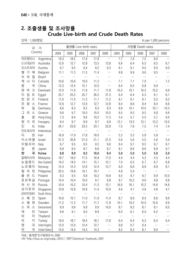#### **2. 조출생률 및 조사망률 Crude Live-birth and Crude Death Rates**

단위 : 1,000명당 In per 1,000 persons

| 국                               | 가                    |      |          | 출생률 Live-birth rates |           |           | 사망률 Death rates |           |           |           |           |
|---------------------------------|----------------------|------|----------|----------------------|-----------|-----------|-----------------|-----------|-----------|-----------|-----------|
|                                 | Country              | 2004 | 2005     | 2006                 | 2007      | 2008      | 2004            | 2005      | 2006      | 2007      | 2008      |
| 아르헨티나                           | Argentina            | 19.3 | 18.5     | 17.9                 | 17.8      | $\cdots$  | 7.7             | 7.6       | 7.5       | 8.0       | $\ldots$  |
| 오스트레일리아                         | Australia            | 12.6 | 12.7     | 12.8                 | 13.5      | 13.8      | 6.6             | 6.4       | 6.5       | 6.5       | 6.7       |
| 오스트리아                           | Austria              | 9.7  | 9.5      | 9.4                  | 9.2       | 9.3       | 9.1             | 9.1       | 9.0       | 9.0       | 9.0       |
| 기<br>벨<br>에                     | Belgium              | 11.1 | 11.3     | 11.5                 | 11.4      | $\ldots$  | 9.8             | 9.9       | 9.6       | 9.5       | $\ldots$  |
| 라<br>질<br>브                     | <b>Brazil</b>        |      | $\ldots$ | $\ldots$             | $\ldots$  | $\cdots$  | $\ldots$        | $\ldots$  | $\ldots$  | $\ldots$  | $\ldots$  |
| 나<br>캐<br>다                     | Canada               | 10.6 | 10.6     | 10.9                 | 11.2      | $\cdots$  | 7.1             | 7.1       | 7.0       | $\cdots$  | 7.2       |
| 중<br>국                          | China                | 12.3 | 12.4     | 12.1                 | 12.0      | $\ldots$  | 6.4             | 6.5       | 6.8       | 6.9       | $\ldots$  |
| 덴<br>마<br>$\exists$             | Denmark              | 12.0 | 11.9     | 11.9                 | 11.7      | 11.8      | 10.3            | 10.1      | 10.2      | 10.2      | 9.9       |
| 집<br>$\equiv$<br> 0             | Egypt                | 25.7 | 25.5     | 25.7                 | 26.5      | 27.3      | 6.4             | 6.4       | 6.3       | 6.1       | 6.1       |
| 란<br>$\equiv$<br>핀              | Finland              | 11.0 | 11.0     | 11.2                 | 11.1      | 11.2      | 9.1             | 9.1       | 9.1       | 9.3       | 9.2       |
| 랑<br>프<br>스                     | France               | 12.6 | 12.7     | 12.9                 | 12.7      | 12.8      | 8.4             | 8.6       | 8.4       | 8.4       | 8.6       |
| 독<br>일                          | Germany              | 8.6  | 8.3      | 8.2                  | 8.3       | 8.3       | 9.9             | 10.1      | 10.0      | 10.1      | 10.3      |
| 리<br>$\mathfrak{\text{I}}$<br>스 | Greece               | 9.6  | 9.7      | 10.0                 | 10.0      | 10.5      | 9.5             | 9.5       | 9.5       | 9.8       | 9.6       |
| 홍<br>콩                          | Hong Kong            | 7.3  | 8.4      | 9.6                  | 10.2      | 11.3      | 5.4             | 5.7       | 5.5       | 5.7       | 6.0       |
| 헝<br>리<br>가                     | Hungary              | 9.4  | 9.7      | 9.9                  | 9.7       | 9.9       | 13.1            | 13.5      | 13.1      | 13.2      | 13.0      |
| 인<br>도                          | India                | 24.1 | 23.8     | 23.5                 | 23.1      | 22.8      | 7.5             | 7.6       | 7.5       | 7.4       | 7.4       |
| 인도네시아                           | Indonesia            |      | $\ldots$ | $\ldots$             | $\ldots$  | $\ldots$  | $\ldots$        |           | $\ldots$  | $\ddotsc$ | $\ldots$  |
| 0 <br>란                         | Iran                 | 16.9 | 17.9     | 17.8                 | 18.0      | $\cdots$  | 5.2             | 5.2       | 5.8       | 5.8       | $\ldots$  |
| 이스라엘                            | Israel               | 21.3 | 20.8     | 21.0                 | 21.1      | 21.5      | 5.6             | 5.6       | 5.5       | 5.6       | 5.4       |
| 이탈리아                            | Italy                | 9.7  | 9.5      | 9.5                  | 9.5       | 9.6       | 9.4             | 9.7       | 9.5       | 9.7       | 9.7       |
| 일<br>본                          | Japan                | 8.8  | 8.4      | 8.7                  | 8.6       | 8.7       | 8.1             | 8.6       | 8.6       | 8.8       | 9.1       |
| 한<br>국                          | Korea                | 9.8  | 8.9      | 9.2                  | 10.0      | 9.4       | 5.0             | 5.0       | 5.0       | 5.0       | 5.0       |
| 말레이시아                           | Malaysia             | 18.7 | 18.0     | 17.5                 | 16.8      | 17.0      | 4.4             | 4.4       | 4.3       | 4.3       | 4.4       |
| 뉴질랜드                            | New Zealand          | 14.2 | 14.0     | 14.1                 | 15.1      | 15.1      | 7.0             | 6.5       | 6.7       | 6.7       | 6.8       |
| 노르웨이                            | Norway               | 12.4 | 12.3     | 12.6                 | 12.4      | 12.7      | 9.0             | 8.9       | 8.9       | 8.9       | 8.7       |
| 필<br>리<br>핀                     | Philippines          | 20.5 | 19.8     | 19.1                 | 19.7      | $\ldots$  | 4.8             | 5.0       | $\ldots$  | $\ldots$  | $\ldots$  |
| 폴<br>란 드                        | Poland               | 9.3  | 9.5      | 9.8                  | 10.2      | 10.9      | 9.5             | 9.7       | 9.7       | 9.9       | 10.0      |
| 포르투갈                            | Portugal             | 10.4 | 10.4     | 10.0                 | 9.7       | 9.8       | 9.7             | 10.2      | 9.6       | 9.8       | $9.8\,$   |
| 시 아<br>러                        | Russia               | 10.4 | 10.2     | 10.4                 | 11.3      | 12.1      | 16.0            | 16.1      | 15.2      | 14.6      | 14.6      |
| 싱가포르                            | Singapore            | 10.9 | 10.8     | 10.9                 | 11.0      | 10.9      | 4.6             | 4.7       | 4.6       | 4.8       | 4.7       |
| 남아프리카공화국                        | South Africa         |      | $\ldots$ |                      | $\cdots$  | $\cdots$  |                 | $\cdots$  | $\ldots$  | $\ldots$  | $\ldots$  |
| 페<br>인<br>스                     | Spain                | 10.6 | 10.7     | 11.0                 | 11.0      | 11.4      | 8.7             | 8.9       | 8.4       | 8.6       | 8.6       |
| 웨<br>덴<br>ᄉ                     | Sweden               | 11.2 | 11.2     | 11.7                 | 11.7      | 11.9      | 10.1            | 10.2      | 10.0      | 10.0      | $9.9\,$   |
| 위<br>스<br>스                     | Switzerland          | 9.9  | 9.8      | 9.8                  | 9.9       | 10.0      | 8.1             | 8.2       | 8.1       | 8.1       | 8.0       |
| 대<br>만                          | Taiwan               | 9.6  | 9.1      | 9.0                  | 8.9       | $\ddotsc$ | 6.0             | 6.1       | 6.0       | 6.2       | $\ddotsc$ |
| 타<br> 0                         | Thailand             |      | $\ldots$ | $\ldots$             | $\ddotsc$ | $\ldots$  | $\ldots$        | $\ddotsc$ | $\ddotsc$ | $\cdots$  | $\ldots$  |
| 터<br>키                          | Turkey               | 19.0 | 18.7     | 18.4                 | 18.1      | 17.8      | 6.4             | 6.4       | 6.3       | 6.4       | 6.4       |
| g<br>국                          | United Kingdom       | 12.0 | 12.0     | 12.4                 | 12.7      | $\ldots$  | 9.8             | 9.7       | 9.4       | $\ddotsc$ |           |
| 미<br>국                          | <b>United States</b> | 14.0 | 14.0     | 14.3                 | 14.3      | $\cdots$  | 8.2             | 8.3       | 8.1       | 8.0       | $\cdots$  |

자료 : 통계청「인구동향조사」 2008 UN 「http://esa.un.org/unpp」 2010.7, 대만「Statistical Yearbook」 2007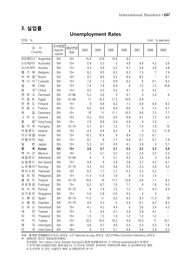### **3. 실업률**

#### **Unemployment Rates**

| 난위 : %                          |                        |                             |             |                |                |                  |                |                |                | Unit $:$ In percent |
|---------------------------------|------------------------|-----------------------------|-------------|----------------|----------------|------------------|----------------|----------------|----------------|---------------------|
| 국<br>Country                    | 가                      | 조사방법<br>Classifi-<br>cation | 해당연령<br>Age | 2003           | 2004           | 2005             | 2006           | 2007           | 2008           | 2009                |
| 아르헨티나 <sup>1)</sup>             | Argentina              | BA                          | $10+$       | 15.4           | 12.6           | 10.6             | 9.5            | $\ddotsc$      | $\cdots$       | $\cdots$            |
| 오스트레일리아                         | Australia              | <b>BA</b>                   | $15+$       | 5.9            | 5.5            | 5                | 4.8            | 4.4            | 4.2            | 5.6                 |
| 오스트리아                           | Austria                | <b>BA</b>                   | $15+$       | 4.3            | 4.9            | 5.2              | 4.7            | 4.4            | 3.8            | $4.8\,$             |
| 7 <br>벨<br>에                    | Belgium                | <b>BA</b>                   | $15+$       | 8.2            | 8.5            | 8.5              | 8.3            | 7.5            | $\overline{7}$ | 7.9                 |
| 질 2)<br>라<br>브                  | Brazil                 | <b>BA</b>                   | $10+$       | 9.7            | 8.9            | 9.3              | 8.4            | 8.2            | $\ldots$       | 8.1                 |
| 개<br>나                          | 다 <sup>3)</sup> Canada | <b>BA</b>                   | $15+$       | 7.6            | 7.2            | 6.8              | 6.3            | $6\,$          | 6.1            | 8.3                 |
| 칠<br>레                          | Chile                  | <b>BA</b>                   | $15+$       | 7.4            | 7.8            | 6.9              | $6\,$          | 7.2            | 7.5            | 10.8                |
| 중<br>국 4)                       | China                  | <b>BA</b>                   | $15+$       | 4.3            | 4.2            | 4.2              | 4.1            | $\overline{4}$ | 4.2            | $\ldots$            |
| 덴<br>$\exists$<br>마             | Denmark                | BA                          | $15 - 66$   | 5.5            | 5.6            | 5                | 4.1            | $\overline{4}$ | 3.4            | $6\,$               |
| 집<br>$\equiv$<br> 0             | Egypt                  | BA                          | $15 - 64$   | 11             | 10.3           | 11.2             | 10.6           | 8.9            | $\cdots$       | $\ldots$            |
| 란<br>$\equiv$<br>핀              | Finland                | BA                          | $15+$       | $\overline{9}$ | 8.8            | 8.3              | 7.7            | 6.8            | 6.4            | 8.2                 |
| 랑<br>프<br>스                     | France                 | BA                          | $15+$       | 8.5            | 8.9            | 8.9              | 8.8            | $\, 8$         | 7.4            | 9.1                 |
| 독<br>일                          | Germany                | <b>BA</b>                   | $15+$       | 10             | 11             | 11.1             | 10.3           | 8.6            | 7.5            | 7.7                 |
| 리<br>$\mathfrak{\text{I}}$<br>스 | Greece                 | <b>BA</b>                   | $15+$       | 9.3            | 10.2           | 9.6              | 8.8            | 8.1            | 7.2            | 9.5                 |
| 콩,<br>홍                         | Hong Kong              | BA                          | $15+$       | 7.9            | 6.8            | 5.6              | 4.8            | $\overline{4}$ | 3.6            | $\ldots$            |
| 가 리<br>헝                        | Hungary                | BA                          | $15 - 74$   | 5.7            | 6.1            | 7.2              | 7.5            | 7.4            | 7.8            | 10                  |
| 아일랜드                            | Ireland                | <b>BA</b>                   | $15+$       | 4.4            | 4.4            | 4.3              | $\overline{4}$ | $\overline{4}$ | 5.2            | 11.8                |
| 이스라엘                            | Israel                 | <b>BA</b>                   | $15+$       | 10.7           | 10.4           | $\boldsymbol{9}$ | 8.4            | 7.3            | 6.1            | $\ldots$            |
| 이탈리아                            | Italy                  | <b>BA</b>                   | $15+$       | 8.7            | 8              | 7.7              | 6.8            | 6.1            | 6.7            | 7.8                 |
| 일<br>본                          | Japan                  | BA                          | $15+$       | 5.3            | 4.7            | 4.4              | 4.1            | 3.9            | $\overline{4}$ | 5.1                 |
| 한<br>국                          | Korea                  | BA                          | $15+$       | 3.6            | 3.7            | 3.7              | 3.5            | 3.2            | 3.2            | 3.6                 |
| 멕<br>코<br>시                     | Mexico                 | BA                          | $14+$       | $\mathfrak{Z}$ | 3.7            | 3.5              | 3.2            | 3.4            | 3.5            | 5.5                 |
| 네덜란드                            | Netherlands            | BA                          | $15 - 64$   | 4              | 5              | 5.1              | 4.2            | 3.5            | $\mathfrak 3$  | $4.9\,$             |
| 뉴질랜드                            | New Zealand            | <b>BA</b>                   | $15+$       | 4.8            | $\overline{4}$ | 3.8              | 3.8            | 3.7            | 4.2            | 6.1                 |
| 노르웨이 <sup>6)</sup>              | Norway                 | <b>BA</b>                   | $15 - 74$   | 4.5            | 4.5            | 4.6              | 3.4            | 2.5            | 2.6            | 3.2                 |
| 파키스탄                            | Pakistan               | <b>BA</b>                   | $10+$       | 8.3            | 7.7            | 7.7              | 6.2            | 5.3            | 5.2            | $\cdots$            |
| 리<br>필<br>핀                     | Philippines            | BA                          | $15+$       | 11.4           | 11.8           | 7.8              | 8              | 7.3            | 7.4            | $\ldots$            |
| 란<br>$\equiv$<br>폴              | Poland                 | BA                          | $15 - 74$   | 19.6           | 19             | 17.7             | 13.8           | 9.6            | 7.1            | 8.2                 |
| 포르투갈                            | Portugal               | <b>BA</b>                   | $15+$       | 6.3            | 6.7            | 7.6              | 7.7            | $\, 8$         | 7.6            | 9.5                 |
| 러 시 아                           | Russia                 | <b>BA</b>                   | $15 - 72$   | 8              | 7.8            | 7.2              | 7.2            | 6.1            | 6.3            | 8.4                 |
| 싱가포르                            | Singapore              | <b>BA</b>                   | $15+$       | 5.9            | 5.8            | 5.6              | 4.5            | 4              | 4              | $\ldots$            |
| 스 페 인                           | Spain                  | BA                          | $16 - 74$   | 11.5           | 11             | 9.2              | 8.5            | 8.3            | 11.3           | 18                  |
| 웨<br>덴<br>스                     | Sweden                 | BA                          | $15 - 74$   | 4.9            | 5.5            | 6                | 5.4            | 6.1            | 6.2            | 8.3                 |
| 위<br>스<br>스                     | Switzerland            | BA                          | $15+$       | 4.1            | 4.3            | 4.4              | $\sqrt{4}$     | 3.6            | 3.4            | 4.2                 |
| 대<br>만                          | Taiwan                 | BA                          | $15+$       | 5              | 4.4            | 4.1              | 3.9            | 3.9            | 4.1            | $\ldots$            |
| 타<br> 0                         | Thailand               | BA                          | $15+$       | 1.5            | 1.5            | 1.4              | 1.2            | 1.2            | 1.2            | $\ldots$            |
| $\vec{\tau} $<br>터              | Turkey                 | BA                          | $15+$       | 10.5           | 10.3           | 10.3             | 9.9            | 10.3           | 11             | 14.1                |
| g<br>국                          | United Kingdom         | BA                          | $16+$       | 4.8            | 4.7            | 4.6              | 5.4            | 5.3            | 5.3            | 7.6                 |
| 국<br>미                          | <b>United States</b>   | BA                          | $16+$       | 6              | 5.5            | 5.1              | 4.6            | 4.6            | 5.8            | 9.3                 |

자료 : 통계청「경제활동인구조사」 2010.8, ILO 「laborsta.ilo.org」 2010.8, OECD「Main Economic Indicators」 2010.8 주 : 2009년은 OECD 자료임(한국제외)

 조사방법 : BA-Labour Force Sample Surveys(노동력 표본통계조사), E-Official estimates(공식 추계치) 1) 31개 대도시(2005이전은 28개 대도시) 2) 아크리, 아마존, 로라이마, 아파마지역 제외 3) 상시복무군인 제외 4) 도시지역 5) 군인, 시설인구 제외 6) 2005년이전 16~74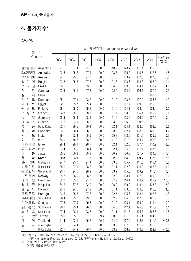#### **4. 물가지수1)**

2005=100

| 국                   | 가                      |       |       |       |       | 소비자 물가지수 consumer price indices |       |       |       |                  |
|---------------------|------------------------|-------|-------|-------|-------|---------------------------------|-------|-------|-------|------------------|
| Country             |                        | 2002  | 2003  | 2004  | 2005  | 2006                            | 2007  | 2008  | 2009  | 2009/2008<br>증감률 |
| 아르헨티나               | Argentina              | 77.0  | 87.4  | 91.2  | 100.0 | 110.9                           | 120.7 | 131.1 | 139.3 | 6.3              |
| 오스트레일리아             | Australia              | 92.6  | 95.2  | 97.4  | 100.0 | 103.5                           | 106.0 | 110.6 | 112.6 | 1.8              |
| 오스트리아               | Austria                | 94.5  | 95.8  | 97.7  | 100.0 | 101.5                           | 103.7 | 107.0 | 107.5 | 0.5              |
| 벨<br>기<br>에         | Belgium                | 93.8  | 95.3  | 97.3  | 100.0 | 101.8                           | 103.6 | 108.3 | 108.2 | $-0.1$           |
| 라<br>질<br>브         | <b>Brazil</b>          | 76.5  | 87.8  | 93.6  | 100.0 | 104.2                           | 108.0 | 114.1 | 119.7 | 4.9              |
| 개<br>나<br>다         | Canada                 | 93.5  | 96.1  | 97.8  | 100.0 | 102.0                           | 104.2 | 106.7 | 107.0 | 0.3              |
| 칠<br>레              | Chile                  |       |       |       |       |                                 |       |       | 100.0 | $\ldots$         |
| 덴<br>마<br>$\exists$ | Denmark                | 95.1  | 97.1  | 98.2  | 100.0 | 101.9                           | 103.6 | 107.2 | 108.6 | 1.3              |
| 집<br>$\equiv$<br> 0 | Egypt                  | 82.0  | 85.7  | 95.4  | 100.0 | 107.6                           | 117.7 | 139.2 | 155.6 | 11.8             |
| 란<br>$\equiv$<br>핀  | Finland                | 98.1  | 99.0  | 99.1  | 100.0 | 101.6                           | 104.1 | 108.4 | 108.4 | 0.0              |
| 랑<br>프<br>스         | France                 | 94.3  | 96.2  | 98.3  | 100.0 | 101.7                           | 103.2 | 106.1 | 106.2 | 0.1              |
| 독<br>일              | Germany                | 95.9  | 96.9  | 98.5  | 100.0 | 101.6                           | 103.9 | 106.6 | 107.0 | 0.4              |
| $\Box$<br>리<br>스    | Greece                 | 90.7  | 93.9  | 96.6  | 100.0 | 103.2                           | 106.2 | 110.6 | 111.9 | 1.2              |
| 홍<br>콩              | Hong Kong              | 102.1 | 99.5  | 99.1  | 100.0 | 102.1                           | 104.1 | 108.6 | 109.2 | 0.6              |
| 헝<br>가<br>리         | Hungary                | 86.5  | 90.4  | 96.6  | 100.0 | 103.9                           | 112.1 | 118.9 | 123.9 | 4.2              |
| 인<br>도              | India                  | 89.1  | 92.4  | 95.9  | 100.0 | 105.8                           | 112.5 | 121.9 | 135.2 | 10.9             |
| 0 <br>란             | Iran                   | 66.0  | 76.8  | 88.2  | 100.0 | 111.9                           | 131.2 | 164.7 | 187.0 | 13.5             |
| 이스라엘                | Israel                 | 98.4  | 99.1  | 98.7  | 100.0 | 102.1                           | 102.6 | 107.4 | 110.9 | 3.3              |
| 이탈리아                | Italy                  | 93.4  | 95.9  | 98.1  | 100.0 | 102.1                           | 104.0 | 107.4 | 108.3 | $0.8\,$          |
| 일<br>본              | Japan                  | 100.5 | 100.3 | 100.3 | 100.0 | 100.2                           | 100.3 | 101.7 | 100.3 | $-1.4$           |
| 국<br>한              | Korea                  | 90.8  | 93.9  | 97.3  | 100.0 | 102.2                           | 104.8 | 109.7 | 112.8 | 2.8              |
| 말레이시아               | Malaysia               | 94.7  | 95.7  | 97.1  | 100.0 | 103.6                           | 105.7 | 111.5 | 112.1 | 0.5              |
| 네덜란드                | Netherlands            | 95.1  | 97.1  | 98.3  | 100.0 | 101.1                           | 102.8 | 105.3 | 106.6 | 1.2              |
| 뉴질랜드                | New Zealand            | 93.1  | 94.5  | 96.9  | 100.0 | 103.2                           | 105.8 | 109.9 | 111.4 | 1.4              |
| 노르웨이                | Norway                 | 95.7  | 98.0  | 98.5  | 100.0 | 102.3                           | 103.1 | 107.0 | 109.3 | 2.1              |
| 파키스탄                | Pakistan               | 82.9  | 85.3  | 91.7  | 100.0 | 107.9                           | 116.1 | 139.7 | 158.7 | 13.6             |
| 필<br>리<br>핀         | Philippines            | 84.7  | 87.7  | 92.9  | 100.0 | 106.2                           | 109.2 | 119.4 | 123.3 | 3.3              |
| 란<br>폴<br>$\equiv$  | Poland                 | 93.8  | 94.6  | 97.9  | 100.0 | 101.1                           | 103.5 | 108.0 | 112.3 | 4.0              |
| 포르투갈                | Portugal               | 92.5  | 95.5  | 97.8  | 100.0 | 102.7                           | 105.6 | 108.4 | 107.5 | $-0.8$           |
| 사우디아라비아             | Saudi Arabia           | 98.4  | 99.0  | 99.3  | 100.0 | 102.2                           | 106.5 | 117.0 | 122.9 | 5.0              |
| 싱가포르                | Singapore              | 97.5  | 97.9  | 99.6  | 100.0 | 101.0                           | 103.1 | 109.9 | 110.1 | 0.2              |
| 남아프리카공화국            | South Africa           | 90.1  | 95.4  | 96.7  | 100.0 | 104.6                           | 112.1 | 125.0 | 133.9 | 7.1              |
| 위<br>스<br>스         | Switzerland            | 97.4  | 98.1  | 98.8  | 100.0 | 101.1                           | 101.8 | 104.3 | 103.8 | $-0.5$           |
| 대                   | 만 <sup>2)</sup> Taiwan | 95.9  | 95.6  | 97.2  | 99.4  | 100.0                           | 101.8 | 105.4 | 104.5 | $-0.9$           |
| 타<br> 0             | Thailand               | 91.4  | 93.1  | 95.7  | 100.0 | 104.6                           | 107.0 | 112.8 | 111.9 | $-0.8$           |
| 영<br>국              | United Kingdom         | 91.8  | 94.4  | 97.2  | 100.0 | 103.2                           | 107.6 | 111.9 | 111.3 | $-0.5$           |
| $\Box$<br>국         | <b>United States</b>   | 92.1  | 94.2  | 96.7  | 100.0 | 103.2                           | 106.2 | 110.2 | 109.9 | $-0.3$           |

자료 : 통계청「소비자물가지수연보」 2009, 한국은행「http://ecos.bok.or.kr」 2010.7

IMF<sup>F</sup>International Financial Statistics」 2010.8, 대만 Monthly Bulletin of Statistics」 2010.7

주:1) 생산자물가지수 : 도매물가지수

2) 대만 기준년 2006=100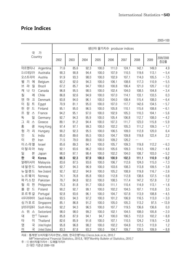#### **Price Indices**

| 가<br>국               |                      |      |      |      |       |       | 생산자 물가지수 producer indices |       |       |                  |
|----------------------|----------------------|------|------|------|-------|-------|---------------------------|-------|-------|------------------|
|                      | Country              | 2002 | 2003 | 2004 | 2005  | 2006  | 2007                      | 2008  | 2009  | 2009/2008<br>증감률 |
| 아르헨티나                | Argentina            | 71.6 | 85.6 | 92.3 | 100.0 | 111.0 | 124.1                     | 142.1 | 149.0 | 4.9              |
| 오스트레일리아              | Australia            | 90.3 | 90.8 | 94.4 | 100.0 | 107.9 | 110.5                     | 119.6 | 113.1 | $-5.4$           |
| 오스트리아                | Austria              | 91.9 | 93.3 | 98.0 | 100.0 | 102.9 | 107.1                     | 114.0 | 105.5 | $-7.5$           |
| 기<br>벨<br>에          | Belgium              | 92.2 | 92.0 | 94.3 | 100.0 | 106.1 | 108.6                     | 117.3 | 110.9 | $-5.5$           |
| 라<br>질<br>브          | <b>Brazil</b>        | 67.2 | 85.7 | 94.7 | 100.0 | 100.8 | 106.4                     | 121.0 | 120.7 | $-0.2$           |
| 개<br>나<br>다          | Canada               | 96.8 | 95.5 | 98.5 | 100.0 | 102.4 | 104.0                     | 108.5 | 104.8 | $-3.4$           |
| 칠<br>레               | Chile                | 86.8 | 92.6 | 94.9 | 100.0 | 107.0 | 114.1                     | 133.1 | 133.5 | 0.3              |
| 덴<br>마<br>$\exists$  | Denmark              | 93.8 | 94.0 | 96.1 | 100.0 | 104.0 | 108.4                     | 115.4 | 108.0 | $-6.4$           |
| 집<br> 0 <br>$\equiv$ | Egypt                | 70.9 | 81.1 | 95.0 | 100.0 | 107.0 | 117.7                     | 142.6 | 134.5 | $-5.7$           |
| $\equiv$<br>핀<br>란   | Finland              | 95.1 | 95.0 | 96.5 | 100.0 | 105.8 | 110.1                     | 115.6 | 108.6 | $-6.1$           |
| 랑<br>프<br>스          | France               | 94.2 | 95.1 | 97.0 | 100.0 | 102.9 | 105.3                     | 110.3 | 104.1 | $-5.6$           |
| 독<br>일               | Germany              | 92.7 | 94.3 | 95.9 | 100.0 | 105.4 | 106.8                     | 112.7 | 108.0 | $-4.2$           |
| 리<br>스<br>$\Box$     | Greece               | 89.1 | 91.2 | 94.4 | 100.0 | 107.3 | 111.7                     | 123.0 | 115.8 | $-5.9$           |
| 홍<br>콩               | Hong Kong            | 97.4 | 97.1 | 99.3 | 100.0 | 102.2 | 105.3                     | 111.2 | 109.3 | $-1.7$           |
| 헝<br>리<br>가          | Hungary              | 90.2 | 92.3 | 95.5 | 100.0 | 106.5 | 109.0                     | 112.8 | 120.0 | 6.4              |
| 인<br>도               | India                | 85.0 | 89.6 | 95.5 | 100.0 | 104.7 | 109.8                     | 119.8 | 122.4 | 2.2              |
| 0 <br>란              | Iran                 | 71.5 | 79.0 | 89.0 | 100.0 | 109.2 | 126.2                     |       |       | $\ldots$         |
| 이스라엘                 | Israel               | 85.6 | 89.3 | 94.1 | 100.0 | 105.7 | 109.3                     | 119.8 | 112.2 | $-6.3$           |
| 이탈리아                 | Italy                | 92.1 | 93.6 | 96.2 | 100.0 | 105.6 | 109.3                     | 114.5 | 109.2 | $-4.6$           |
| 일<br>본               | Japan                | 98.0 | 97.1 | 98.4 | 100.0 | 102.2 | 104.0                     | 108.7 | 103.0 | $-5.2$           |
| 국<br>한               | Korea                | 90.3 | 92.3 | 97.9 | 100.0 | 100.9 | 102.3                     | 111.1 | 110.9 | $-0.2$           |
| 말레이시아                | Malaysia             | 83.6 | 87.5 | 93.6 | 100.0 | 106.7 | 112.6                     | 124.0 | 115.0 | $-7.3$           |
| 네덜란드                 | Netherlands          | 92.7 | 94.3 | 96.9 | 100.0 | 103.6 | 108.3                     | 113.8 | 109.5 | $-3.8$           |
| 뉴질랜드                 | New Zealand          | 92.7 | 92.2 | 94.9 | 100.0 | 105.2 | 108.9                     | 119.8 | 116.7 | $-2.6$           |
| 노르웨이                 | Norway               | 74.1 | 76.8 | 85.8 | 100.0 | 112.8 | 112.8                     | 138.6 | 137.5 | $-0.8$           |
| 파키스탄                 | Pakistan             | 79.7 | 84.8 | 92.0 | 100.0 | 108.5 | 117.4                     | 147.2 | 157.8 | 7.2              |
| 필<br>핀<br>리          | Philippines          | 75.3 | 81.8 | 91.7 | 100.0 | 111.1 | 110.4                     | 114.9 | 113.1 | $-1.6$           |
| 폴<br>란 드             | Poland               | 90.2 | 92.7 | 99.1 | 100.0 | 102.2 | 104.5                     | 107.1 | 110.8 | 3.5              |
| 포르투갈                 | Portugal             | 92.8 | 93.6 | 96.1 | 100.0 | 104.7 | 107.8                     | 113.9 | 108.8 | $-4.5$           |
| 사우디아라비아              | Saudi Arabia         | 93.5 | 94.3 | 97.2 | 100.0 | 101.2 | 106.9                     | 116.5 | 113.0 | $-3.0$           |
| 싱가포르                 | Singapore            | 85.1 | 86.8 | 91.2 | 100.0 | 105.0 | 105.3                     | 113.2 | 97.5  | $-13.9$          |
| 남아프리카공화국             | South Africa         | 92.2 | 94.3 | 96.5 | 100.0 | 107.7 | 119.5                     | 136.6 | 136.6 | $0.0\,$          |
| 위<br>스<br>스          | Switzerland          | 98.0 | 98.0 | 99.2 | 100.0 | 102.1 | 104.5                     | 108.0 | 105.8 | $-2.0$           |
| 만 2<br>대             | Taiwan               | 85.8 | 87.9 | 94.1 | 94.7  | 100.0 | 106.5                     | 112.0 | 102.2 | $-8.8$           |
| 타<br>$\vert 0 \vert$ | Thailand             | 82.6 | 85.9 | 91.6 | 100.0 | 107.1 | 110.5                     | 124.2 | 119.5 | $-3.8$           |
| g<br>국               | United Kingdom       | 95.8 | 96.8 | 98.2 | 100.0 | 102.2 | 104.8                     | 112.5 | 113.9 | 1.2              |
| $\Box\, \,$<br>국     | <b>United States</b> | 83.3 | 87.8 | 93.2 | 100.0 | 104.7 | 109.7                     | 120.5 | 109.9 | $-8.8$           |

자료 : 통계청「소비자물가지수연보」 2009, 한국은행「http://ecos.bok.or.kr」 2010.7

IMF<sup>F</sup>International Financial Statistics」 2010.8, 대만 Monthly Bulletin of Statistics」 2010.7

주:1) 생산자물가지수 : 도매물가지수

2) 대만 기준년 2006=100

2005=100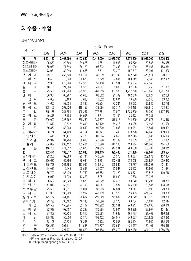#### **5. 수출 · 수입**

단위 : 100만 달러

|                          |           | 출<br>수<br>Exports |           |            |            |            |            |            |  |  |  |  |  |
|--------------------------|-----------|-------------------|-----------|------------|------------|------------|------------|------------|--|--|--|--|--|
| 국<br>가                   | 2002      | 2003              | 2004      | 2005       | 2006       | 2007       | 2008       | 2009       |  |  |  |  |  |
| 계<br>세                   | 6,421,120 | 7,468,260         | 9,103,530 | 10,412,000 | 12,079,700 | 13,774,200 | 15,987,700 | 12,526,800 |  |  |  |  |  |
| 아르헨티나                    | 25,650    | 29,566            | 34,576    | 40,351     | 46,568     | 55,779     | 70,588     | 56,065     |  |  |  |  |  |
| 오스트레일리아                  | 65,033    | 71,546            | 86,420    | 105,832    | 123,293    | 141,099    | 186,965    | 153,874    |  |  |  |  |  |
| 오스트리아                    | 73,081    | 89,240            | 111,686   | 117,711    | 130,370    | 157,317    | 173,394    | 131,390    |  |  |  |  |  |
| 벨<br>기<br>에              | 215,769   | 255,549           | 306,751   | 335,819    | 366,743    | 432,270    | 476,811    | 370,101    |  |  |  |  |  |
| 라<br>브<br>질              | 60,439    | 73,203            | 96,678    | 118,529    | 137,807    | 160,649    | 197,942    | 152,995    |  |  |  |  |  |
| 나<br>개<br>다              | 252,393   | 272,824           | 304,528   | 359,430    | 389,531    | 416,654    | 452,162    |            |  |  |  |  |  |
| 칠<br>레                   | 18,180    | 21,664            | 32,520    | 41,267     | 58,680     | 67,666     | 66,456     | 51,963     |  |  |  |  |  |
| 중<br>국                   | 325,596   | 438,228           | 593,326   | 761,953    | 969,380    | 1,217,790  | 1,428,660  | 1,201,790  |  |  |  |  |  |
| 덴<br>$\exists$<br>마      | 56,304    | 65,267            | 75,620    | 83,562     | 91,709     | 102,840    | 115,827    | 92,288     |  |  |  |  |  |
| $\equiv$<br> 0 <br>집     | 4,687     | 6,163             | 7,683     | 10,652     | 13,694     | 16,200     | 26,246     | 23,062     |  |  |  |  |  |
| $\equiv$<br>란<br>핀       | 44,650    | 52,504            | 60,895    | 65,234     | 77,284     | 90,092     | 96,880     | 62,738     |  |  |  |  |  |
| 랑<br>프<br>스              | 308,466   | 362,536           | 418,152   | 439,085    | 483,714    | 543,485    | 598,610    | 473,967    |  |  |  |  |  |
| 일<br>독                   | 615,438   | 751,684           | 909,237   | 977,881    | 1,122,070  | 1,323,820  | 1,451,390  | 1,127,630  |  |  |  |  |  |
| $\mathfrak{1}$<br>리<br>스 | 10,315    | 13,195            | 14,996    | 15,511     | 20,180     | 23,472     | 25,231     |            |  |  |  |  |  |
| 홍<br>콩                   | 200,092   | 223,762           | 259,260   | 289,337    | 316,816    | 344,509    | 362,675    | 318,510    |  |  |  |  |  |
| 헝<br>가<br>리              | 34,512    | 42,532            | 54,892    | 62,179     | 74,216     | 93,985     | 107,465    | 84,586     |  |  |  |  |  |
| 인<br>도                   | 50,372    | 58,963            | 76,649    | 99,620     | 121,806    | 149,951    | 194,531    | 160,404    |  |  |  |  |  |
| 인도네시아                    | 58,774    | 64,109            | 72,164    | 86,721     | 103,493    | 118,728    | 147,640    | 119,000    |  |  |  |  |  |
| 아 일 랜 드                  | 87,418    | 92,411            | 104,180   | 109,604    | 104,866    | 122,643    | 126,083    | 116,022    |  |  |  |  |  |
| 이 스 라 엘                  | 29,347    | 31,784            | 38,618    | 42,770     | 46,789     | 54,065     | 60,825     | 47,935     |  |  |  |  |  |
| 이 탈 리 아                  | 254,097   | 299,412           | 353,434   | 372,928    | 416,188    | 499,944    | 544,963    | 404,588    |  |  |  |  |  |
| 본<br>일                   | 416,726   | 471,817           | 565,675   | 594,905    | 649,931    | 700,538    | 786,430    | 580,845    |  |  |  |  |  |
| 국<br>한                   | 162,471   | 193,817           | 253,845   | 284,419    | 325,465    | 371,489    | 422,007    | 363,534    |  |  |  |  |  |
| 말레이시아                    | 93,265    | 99,369            | 125,744   | 140,870    | 160,573    | 176,027    | 209,673    | 157,484    |  |  |  |  |  |
| 멕<br>시<br>코              | 160,682   | 165,396           | 189,084   | 213,891    | 250,441    | 272,055    | 291,827    | 229,683    |  |  |  |  |  |
| 네덜란드                     | 219,758   | 264,798           | 317,966   | 349,812    | 399,569    | 476,787    | 541,398    | 431,801    |  |  |  |  |  |
| 뉴 질 랜 드                  | 14,029    | 16,645            | 20,593    | 21,927     | 22,867     | 28,122     | 30,905     | 24,931     |  |  |  |  |  |
| 노르웨이                     | 59,702    | 67,479            | 81,750    | 103,752    | 122,122    | 136,371    | 172,517    | 120,710    |  |  |  |  |  |
| 파 키 스 탄                  | 9,913     | 11,930            | 13,379    | 16,051     | 16,930     | 17,838     | 20,323     |            |  |  |  |  |  |
| 필<br>리<br>핀              | 36,502    | 36,229            | 39,680    | 39,879     | 47,416     | 50,270     | 49,205     | 40,889     |  |  |  |  |  |
| 폴<br>$\equiv$<br>란       | 41,010    | 53,537            | 73,792    | 89,347     | 109,584    | 136,360    | 169,537    | 133,648    |  |  |  |  |  |
| 갈<br>포르투                 | 25,523    | 30,591            | 33,014    | 32,203     | 42,881     | 50,241     | 56,092     | 43,382     |  |  |  |  |  |
| 러<br>시<br>아              | 107,301   | 135,929           | 183,207   | 243,799    | 303,926    | 354,403    | 471,765    | 303,388    |  |  |  |  |  |
| 싱가포르                     | 125,177   | 144,181           | 198,637   | 229,649    | 271,807    | 299,272    | 338,176    | 269,832    |  |  |  |  |  |
| 남아프리카공화국                 | 29,723    | 36,482            | 46,146    | 51,626     | 58,175     | 69,784     | 84,637     | 62,614     |  |  |  |  |  |
| 인<br>페<br>스              | 123,507   | 155,995           | 182,107   | 190,982    | 213,341    | 248,917    | 277,696    | 220,848    |  |  |  |  |  |
| 웨<br>스<br>덴              | 82,919    | 102,407           | 123,298   | 130,885    | 147,904    | 168,979    | 183,907    | 131,321    |  |  |  |  |  |
| 위<br>스<br>스              | 87,359    | 100,724           | 117,816   | 126,083    | 141,669    | 164,797    | 191,403    | 166,239    |  |  |  |  |  |
| 만<br>대                   | 135,317   | 150,600           | 182,370   | 198,432    | 224,017    | 246,677    | 255,629    | 203,675    |  |  |  |  |  |
| 0 <br>타                  | 68,108    | 80,324            | 96,248    | 110,178    | 130,803    | 153,124    | 172,860    | 152,068    |  |  |  |  |  |
| 영<br>국                   | 276,219   | 304,111           | 341,558   | 371,377    | 427,650    | 434,957    | 460,101    | 356,319    |  |  |  |  |  |
| 국<br>미                   | 693,103   | 724,771           | 818,520   | 907,158    | 1,038,270  | 1,162,980  | 1,301,110  | 1,056,750  |  |  |  |  |  |

자료 : 한국무역협회 e-Biz지원본부 정보전략팀 2010.7 IMF「International Financial Statistics」 2010.7 대만「http://eng.dgbas.gov.tw」 2010.7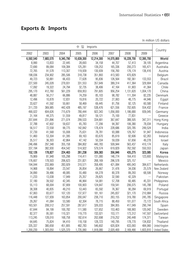#### **Exports & Imports**

|           |           |           | 수 입        | Imports    |            |            |            |                      |
|-----------|-----------|-----------|------------|------------|------------|------------|------------|----------------------|
| 2002      | 2003      | 2004      | 2005       | 2006       | 2007       | 2008       | 2009       | Country              |
| 6,592,540 | 7,683,570 | 9,345,790 | 10,639,300 | 12,214,300 | 14,070,800 | 16,228,700 | 12,395,700 | World                |
| 8,990     | 13,833    | 22,445    | 28,693     | 34,158     | 44,707     | 57,413     | 39,105     | Argentina            |
| 72,690    | 89,084    | 109,384   | 125,281    | 139,253    | 165,336    | 200,273    | 165,471    | Australia            |
| 72,765    | 91,578    | 113,307   | 119,939    | 130,939    | 156,760    | 176,174    | 136,416    | Austria              |
| 198,036   | 234,902   | 285,506   | 318,738    | 351,893    | 413,583    | 470,829    | $\cdots$   | Belgium              |
| 49,723    | 50,881    | 66,433    | 77,628     | 95,836     | 126,564    | 182,361    | 133,553    | Brazil               |
| 227,500   | 245,028   | 279,931   | 331,553    | 357,649    | 389,314    | 417,364    | 329,904    | Canada               |
| 17,092    | 19,322    | 24,794    | 32,735     | 38,406     | 47,164     | 61,903     | 41,364     | Chile                |
| 295,170   | 412,760   | 561,229   | 659,953    | 791,605    | 956,254    | 1,131,620  | 1,004,170  | China                |
| 48,887    | 56,217    | 66,886    | 74,259     | 85,103     | 98,782     | 111,304    | 82,235     | Denmark              |
| 12,496    | 10,878    | 12,831    | 19,816     | 20,722     | 27,063     | 48,775     | 44,946     | Egypt                |
| 33,627    | 41,592    | 50,661    | 58,469     | 69,445     | 81,756     | 92,125     | 60,580     | Finland              |
| 311,720   | 369,985   | 442,428   | 485,197    | 538,476    | 621,556    | 702,605    | 554,432    | France               |
| 490,022   | 604,626   | 715,679   | 780,444    | 922,343    | 1,056,000  | 1,186,680  | 939,045    | Germany              |
| 31,164    | 44,375    | 51,559    | 49,817     | 59,121     | 75,100     | 77,831     | $\cdots$   | Greece               |
| 207,644   | 231,896   | 271,074   | 299,533    | 334,681    | 367,647    | 388,505    | 347,311    | Hong Kong            |
| 37,788    | 47,602    | 59,637    | 65,783     | 77,206     | 94,397     | 106,380    | 78,034     | Hungary              |
| 56,517    | 72,558    | 99,775    | 142,842    | 178,474    | 228,686    | 320,785    | 249,524    | India                |
| 37,730    | 41,568    | 55,008    | 75,631     | 78,781     | 93,088     | 129,767    | 91,947     | Indonesia            |
| 51,460    | 53,304    | 61,395    | 69,163     | 83,670     | 85,619     | 82,606     | 62,263     | Ireland              |
| 35,517    | 36,303    | 42,864    | 47,142     | 50,334     | 59,039     | 67,656     | 49,278     | Israel               |
| 246,496   | 297,348   | 355,158   | 384,802    | 440,783    | 509,944    | 563,437    | 410,174    | Italy                |
| 337,194   | 382,930   | 454,542   | 514,922    | 579,574    | 619,829    | 762,592    | 550,553    | Japan                |
| 152,126   | 178,827   | 224,463   | 261,238    | 309,383    | 356,846    | 435,275    | 323,085    | Korea                |
| 79,869    | 81,948    | 105,298   | 114,411    | 131,080    | 146,774    | 164,410    | 123,693    | Malaysia             |
| 176,607   | 178,503   | 206,623   | 231,821    | 268,169    | 296,578    | 325, 157   | $\cdots$   | Mexico               |
| 194,044   | 233,969   | 283,929   | 310,571    | 358,495    | 421,084    | 495,043    | 384,677    | Netherlands          |
| 14,968    | 18,894    | 23,547    | 26,854     | 26,667     | 31,476     | 34,036     | 25,579     | New Zealand          |
| 34,890    | 39,486    | 48,085    | 55,480     | 64,278     | 80,378     | 89,293     | 68,506     | Norway               |
| 11,233    | 13,038    | 17,949    | 25,357     | 29,825     | 32,590     | 42,329     | $\cdots$   | Pakistan             |
| 37,180    | 39,502    | 42,345    | 46,964     | 54,081     | 57,708     | 60,485     | 45,331     | Philippines          |
| 55,113    | 68,004    | 87,909    | 100,903    | 124,647    | 159,541    | 206,075    | 145,788    | Poland               |
| 38,308    | 40,835    | 49,210    | 53,443     | 65,592     | 76,367     | 90,284     | 69,919     | Portugal             |
| 67,063    | 83,677    | 107,120   | 137,977    | 181,161    | 245,837    | 321,170    | 210,984    | Russia               |
| 116,448   | 127,939   | 163,854   | 200,047    | 238,710    | 263,155    | 319,780    | 245,785    | Singapore            |
| 29,267    | 41,084    | 53,580    | 62,304     | 78,715     | 88,450     | 101,077    | 73,172     | South Africa         |
| 163,501   | 208,512   | 257,591   | 287,617    | 326,033    | 384,955    | 417,049    | 290,744    | Spain                |
| 67,644    | 84,199    | 100,782   | 111,580    | 127,652    | 153,463    | 168,993    | 120,042    | Sweden               |
| 82,377    | 95,581    | 110,321   | 119,770    | 132,021    | 153,171    | 173,312    | 147,507    | Switzerland          |
| 113,245   | 128,010   | 168,758   | 182,614    | 202,698    | 219,252    | 240,448    | 174,371    | Taiwan               |
| 64,645    | 75,824    | 94,410    | 118,158    | 128,723    | 140,795    | 178,770    | 134,832    | Thailand             |
| 335,337   | 380,658   | 451,805   | 482,783    | 546,602    | 620,824    | 633,093    | 484,060    | United Kingdom       |
| 1,200,230 | 1,303,050 | 1,525,370 | 1,735,060  | 1,918,080  | 2,020,400  | 2,169,490  | 1,603,810  | <b>United States</b> |

In million US dollars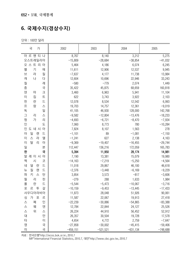#### **6. 국제수지(경상수지)**

단위 : 100만 달러

| 가<br>국                          | 2002        | 2003       | 2004        | 2005       |
|---------------------------------|-------------|------------|-------------|------------|
| 아 르 헨 티<br>나                    | 8,767       | 8,140      | 3,212       | 5,275      |
| 오스트레일리아                         | $-15,809$   | $-28,684$  | $-38,854$   | $-41,032$  |
| 스트 리 아<br>오                     | 5,464       | 4,186      | 6,074       | 6,245      |
| 벨<br>기<br>에                     | 11,611      | 12,906     | 12,537      | 9,945      |
| 라<br>브<br>질                     | $-7,637$    | 4,177      | 11,738      | 13,984     |
| 캐<br>나<br>다                     | 12,604      | 10,696     | 22,946      | 33,243     |
| 칠<br>레                          | $-580$      | $-779$     | 2,074       | 1,449      |
| 중<br>국                          | 35,422      | 45,875     | 68,659      | 160,818    |
| 덴<br>$\exists$<br>마             | 3,460       | 6,963      | 5,941       | 11,104     |
| $\overline{0}$<br>집<br>旦        | 622         | 3,743      | 3,922       | 2,103      |
| $\equiv$<br>핀<br>란              | 12,078      | 8,534      | 12,542      | 6,993      |
| $\frac{\pi}{2}$<br>랑<br>스       | 19,703      | 14,757     | 12,361      | $-9,019$   |
| 독<br>일                          | 41,105      | 46,930     | 128,000     | 142,768    |
| $\Box$<br>스<br>리                | $-9,582$    | $-12,804$  | $-13,476$   | $-18,233$  |
| 리<br>헝<br>가                     | $-4,693$    | $-6,721$   | $-8,470$    | $-7,934$   |
| 인<br>도                          | 7,060       | 8,773      | 780         | $-10,284$  |
| 인<br>0 <sup>1</sup><br>도 네 시    | 7,824       | 8,107      | 1,563       | 278        |
| 아<br>일<br>랜<br>드                | $-1,101$    | 89         | $-1,081$    | $-7,150$   |
| 0 <br>엘<br>스<br>라               | $-1,241$    | 627        | 2,138       | 4,163      |
| $\overline{0}$<br>탈<br>리<br>아   | $-9,369$    | $-19,407$  | $-16,455$   | $-29,744$  |
| 일<br>본                          | 112,447     | 136,216    | 172,059     | 165,783    |
| 한<br>국                          | 5,394       | 11,950     | 28,174      | 14,981     |
| 말<br>0 <sup>1</sup><br>이 시<br>레 | 7,190       | 13,381     | 15,079      | 19,980     |
| 멕<br>시<br>코                     | $-14,163$   | $-7,219$   | $-5,250$    | $-4,564$   |
| 네<br>란<br>$\equiv$<br>뎔         | 11,018      | 29,867     | 46,100      | 46,618     |
| 질<br>$\equiv$<br>랜<br>뉴         | $-2,376$    | $-3,448$   | $-6,169$    | $-9,229$   |
| 키<br>파<br>스<br>탄                | 3,854       | 3,573      | $-817$      | $-3,606$   |
| 필<br>핀<br>리                     | $-279$      | 288        | 1,633       | 1,984      |
| 폴<br>란<br>드                     | $-5,544$    | $-5,473$   | $-10,067$   | $-3,716$   |
| 갈<br>포<br>르<br>투                | $-10,159$   | $-9,453$   | $-13,445$   | $-17,433$  |
| 사우디아라비아                         | 11,873      | 28,048     | 51,926      | 90,061     |
| 싱<br>가<br>포<br>르                | 11,587      | 22,067     | 19,913      | 27,418     |
| 인<br>페<br>스                     | $-22,239$   | $-30,886$  | $-54,865$   | $-83,388$  |
| 웨<br>덴<br>스스                    | 12,784      | 22,844     | 24,127      | 25,526     |
| 위<br>스                          | 26,224      | 44,910     | 56,452      | 52,912     |
| 대<br>만                          | 26,357      | 30,504     | 19,728      | 17,578     |
| 타<br> 0                         | 4,654       | 4,772      | 2,759       | $-7,647$   |
| 영<br>국                          | $-27,858$   | $-30,002$  | $-45,415$   | $-59,406$  |
| 국<br>미                          | $-459, 151$ | $-521,521$ | $-631, 134$ | $-748,688$ |

자료 : 한국은행「http://ecos.bok.or.kr」 2010.7

IMF「International Financial Statistics」 2010.7, 대만「http://www.cbc.gov.tw」 2010.7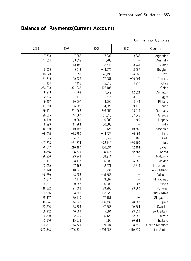|            |            |            |            | Unit: In million US dollars |
|------------|------------|------------|------------|-----------------------------|
| 2006       | 2007       | 2008       | 2009       | Country                     |
| 7,768      | 7,355      | 7,037      | 8,635      | Argentina                   |
| $-41,504$  | $-58,032$  | $-47,786$  |            | Australia                   |
| 7,807      | 13,190     | 13,444     | 8,731      | Austria                     |
| 8,035      | 9,512      | $-14,275$  | 2,557      | Belgium                     |
| 13,620     | 1,551      | $-28,192$  | $-24,335$  | <b>Brazil</b>               |
| 31,319     | 29,936     | 27,281     | $-20,004$  | Canada                      |
| 7,154      | 7,458      | $-2,513$   | 4,217      | Chile                       |
| 253,268    | 371,833    | 426,107    | $\cdots$   | China                       |
| 8,218      | 4,769      | 7,549      | 12,824     | Denmark                     |
| 2,635      | 412        | $-1,415$   | $-3,349$   | Egypt                       |
| 9,497      | 10,607     | 8,206      | 3,444      | Finland                     |
| $-11,550$  | $-26,620$  | $-64,229$  | $-59,118$  | France                      |
| 189,121    | 254,563    | 246,055    | 168,019    | Germany                     |
| $-29,565$  | $-44,587$  | $-51,313$  | $-37,043$  | Greece                      |
| $-8,119$   | $-9,081$   | $-10,808$  | 409        | Hungary                     |
| $-9,299$   | $-11,284$  | $-36,088$  |            | India                       |
| 10,860     | 10,493     | 126        | 10,582     | Indonesia                   |
| $-9,095$   | $-13,850$  | $-14,222$  | $-6,499$   | Ireland                     |
| 7,395      | 4,892      | 1,349      | 7,189      | Israel                      |
| $-47,828$  | $-51,574$  | $-78,144$  | $-66, 199$ | Italy                       |
| 170,517    | 210,490    | 156,634    | 142,194    | Japan                       |
| 5,385      | 5,876      | $-5,776$   | 42,668     | Korea                       |
| 26,200     | 29,243     | 38,914     |            | Malaysia                    |
| $-4,461$   | $-8,413$   | $-15,903$  | $-5,252$   | Mexico                      |
| 63,069     | 67,462     | 42,571     | 42,819     | Netherlands                 |
| $-9,120$   | $-10,542$  | $-11,237$  |            | New Zealand                 |
| $-6,750$   | $-8,286$   | $-15,663$  | $\cdots$   | Pakistan                    |
| 5,347      | 7,119      | 3,897      |            | Philippines                 |
| $-9,394$   | $-20,253$  | $-26,909$  | $-7,207$   | Poland                      |
| $-19,322$  | $-21,008$  | $-29,298$  | $-23,380$  | Portugal                    |
| 99,066     | 93,392     | 132,322    |            | Saudi Arabia                |
| 35,407     | 39,110     | 27,181     | $\cdots$   | Singapore                   |
| $-110,874$ | $-144,540$ | $-156,432$ | $-78,683$  | Spain                       |
| 33,296     | 38,886     | 47,767     | 29,564     | Sweden                      |
| 56,912     | 40,566     | 5,094      | 23,636     | Switzerland                 |
| 26,300     | 32,975     | 25,122     | 42,056     | Taiwan                      |
| 2,316      | 15,678     | 1,698      | 20,284     | Thailand                    |
| $-80,881$  | $-74,729$  | $-39,904$  | $-28,690$  | United Kingdom              |
| $-803,548$ | $-726,571$ | $-706,066$ | $-419,870$ | <b>United States</b>        |

#### **Balance of Payments(Current Account)**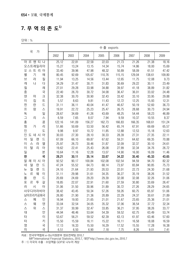#### **7. 무 역 의 존 도1)**

단위 : %

|                                      | 수출 exports |        |        |        |        |        |        |        |  |  |  |  |
|--------------------------------------|------------|--------|--------|--------|--------|--------|--------|--------|--|--|--|--|
| 국<br>가                               | 2002       | 2003   | 2004   | 2005   | 2006   | 2007   | 2008   | 2009   |  |  |  |  |
| 아 르 헨 티 나                            | 25.12      | 22.81  | 22.58  | 22.03  | 21.73  | 21.26  | 21.38  | 18.16  |  |  |  |  |
| 오스트레일리아                              | 15.27      | 13.24  | 13.15  | 14.34  | 15.74  | 14.86  | 18.00  | 15.69  |  |  |  |  |
| 오 스 트 리 아                            | 33.40      | 39.96  | 47.98  | 48.32  | 50.89  | 58.09  | 61.51  | 47.42  |  |  |  |  |
| 벨<br>기<br>에                          | 80.45      | 92.69  | 105.67 | 110.76 | 115.15 | 129.04 | 138.61 | 109.80 |  |  |  |  |
| 라<br>브<br>질                          | 11.94      | 13.25  | 14.56  | 13.44  | 12.65  | 11.75  | 12.08  | 9.73   |  |  |  |  |
| 캐<br>나<br>다                          | 34.29      | 31.47  | 30.71  | 31.83  | 30.69  | 29.22  | 30.11  | 23.49  |  |  |  |  |
| 칠<br>레                               | 27.01      | 29.28  | 33.98  | 34.88  | 39.97  | 41.18  | 38.89  | 31.82  |  |  |  |  |
| 중<br>국                               | 22.40      | 26.70  | 30.72  | 34.08  | 36.47  | 36.01  | 33.02  | 24.48  |  |  |  |  |
| 덴<br>$\exists$<br>마                  | 32.38      | 30.70  | 30.90  | 32.43  | 33.42  | 33.10  | 33.95  | 29.88  |  |  |  |  |
| 0 <br>집<br>$\equiv$                  | 5.57       | 8.63   | 9.81   | 11.43  | 12.72  | 12.25  | 15.93  | 12.31  |  |  |  |  |
| $\equiv$<br>핀<br>란                   | 31.11      | 36.11  | 40.04  | 41.47  | 46.67  | 50.19  | 52.60  | 36.73  |  |  |  |  |
| 프<br>랑<br>스                          | 19.91      | 22.72  | 25.23  | 25.47  | 26.75  | 28.68  | 30.73  | 24.94  |  |  |  |  |
| 독<br>일                               | 28.67      | 34.69  | 41.26  | 43.69  | 48.25  | 54.44  | 58.23  | 46.89  |  |  |  |  |
| $\Box$<br>리<br>스                     | 6.59       | 7.65   | 8.07   | 7.94   | 9.59   | 10.37  | 10.55  | 8.37   |  |  |  |  |
| 홍<br>콩                               | 122.16     | 141.09 | 156.27 | 162.73 | 166.83 | 166.35 | 168.61 | 151.24 |  |  |  |  |
| 헝<br>리<br>가                          | 51.66      | 50.69  | 53.50  | 56.42  | 65.74  | 67.91  | 69.69  | 65.57  |  |  |  |  |
| 인<br>도                               | 9.98       | 9.97   | 10.72  | 11.85  | 12.88  | 12.53  | 15.18  | 12.63  |  |  |  |  |
| 인<br>아<br>도 네 시                      | 30.03      | 27.30  | 28.10  | 30.33  | 28.39  | 27.31  | 27,35  | 22.11  |  |  |  |  |
| 0 <sup>1</sup><br>$\equiv$<br>일<br>랜 | 67.09      | 66.10  | 69.87  | 67.62  | 59.31  | 64.62  | 69.35  | 70.88  |  |  |  |  |
| 라<br>엘<br>스<br> 0                    | 25,97      | 26.73  | 30.46  | 31.87  | 32.09  | 32.37  | 30.10  | 24.61  |  |  |  |  |
| 탈<br>리<br> 0 <br>아                   | 19.62      | 22.41  | 25.43  | 26.08  | 27.99  | 32.34  | 34.76  | 26.72  |  |  |  |  |
| 일<br>본                               | 10.64      | 11.16  | 12.28  | 13.07  | 14.90  | 16.00  | 16.09  | 11.46  |  |  |  |  |
| 국<br>한                               | 28.21      | 30.11  | 35.14  | 33.67  | 34.22  | 35.40  | 45.33  | 43.65  |  |  |  |  |
| 말<br>레 이 시<br>0 <sup>1</sup>         | 92.52      | 90.17  | 100.84 | 102.08 | 102.54 | 94.59  | 94.70  | 82.32  |  |  |  |  |
| 네<br>$\equiv$<br>란<br>덜              | 47.24      | 55.52  | 64.73  | 68.14  | 73.97  | 83.84  | 90.85  | 75.73  |  |  |  |  |
| $\equiv$<br>질<br>랜<br>뉴              | 24.10      | 21.64  | 21.93  | 20.53  | 22.01  | 22.73  | 24.30  | 21.68  |  |  |  |  |
| 르<br>웨<br> 0 <br>노                   | 31.11      | 29.98  | 31.61  | 34.35  | 36.27  | 35.19  | 38.26  | 31.52  |  |  |  |  |
| 폴<br>란<br>$\equiv$                   | 20.69      | 24.69  | 29.20  | 29.39  | 32.08  | 32.08  | 32.26  | 31.06  |  |  |  |  |
| 갈<br>포<br>르<br>투                     | 18.85      | 22.07  | 22.91  | 21.60  | 27.59  | 30.80  | 33.69  | 26.47  |  |  |  |  |
| 러<br>시<br>아                          | 31.06      | 31.50  | 30.96  | 31.89  | 30.72  | 27.26  | 28.29  | 24.65  |  |  |  |  |
| 사우디아라비아                              | 38.42      | 43.45  | 50.34  | 57.26  | 59.26  | 60.75  | 65.97  | 51.06  |  |  |  |  |
| 남아프리카공화국                             | 26.80      | 21.90  | 21.36  | 20.89  | 22.29  | 24.37  | 30.61  | 21.89  |  |  |  |  |
| 페<br>인<br>스                          | 16.94      | 19.93  | 21.65  | 21.01  | 21.67  | 23.65  | 25.36  | 21.01  |  |  |  |  |
| 덴<br>웨<br>스                          | 33.04      | 32.54  | 34.05  | 35.32  | 37.06  | 36.54  | 37.72  | 32.34  |  |  |  |  |
| 스<br>위<br>스                          | 31.37      | 30.99  | 32.47  | 33.85  | 36.21  | 37.95  | 38.26  | 33.77  |  |  |  |  |
| 대<br>만                               | 44.94      | 48.46  | 53.64  | 54.39  | 59.52  | 62.75  | 63.49  | 53.74  |  |  |  |  |
| 0 <br>타                              | 53.67      | 56.21  | 59.52  | 62.39  | 63.13  | 61.97  | 63.46  | 57.60  |  |  |  |  |
| 터<br>키                               | 15.50      | 15.59  | 16.11  | 15.22  | 16.11  | 16.58  | 18.08  | 16.59  |  |  |  |  |
| $\mathfrak{B}$<br>국                  | 17.13      | 16.33  | 15.50  | 16.29  | 17.52  | 15.55  | 17.28  | 16.38  |  |  |  |  |
| 국<br>미                               | 6.51       | 6.50   | 6.90   | 7.18   | 7.75   | 8.26   | 9.01   | 7.41   |  |  |  |  |

자료 : 한국무역협회 e-Biz지원본부 정보전략팀 2010.7

IMF「International Financial Statistics」 2010.7, 대만「http://www.cbc.gov.tw」 2010.7

주 : 1) 각국의 수출·수입액을 GDP로 나누어 계상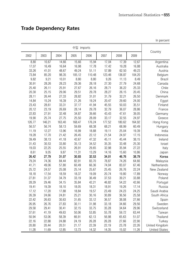#### **Trade Dependency Rates**

|        |        |        |            |        |        |        |        | in percent           |
|--------|--------|--------|------------|--------|--------|--------|--------|----------------------|
|        |        |        | 수입 imports |        |        |        |        |                      |
| 2002   | 2003   | 2004   | 2005       | 2006   | 2007   | 2008   | 2009   | Country              |
| 8.80   | 10.67  | 14.66  | 15.66      | 15.94  | 17.04  | 17.39  | 12.67  | Argentina            |
| 17.07  | 16.49  | 16.64  | 16.98      | 17.78  | 17.42  | 19.28  | 16.88  | Australia            |
| 33.26  | 41.01  | 48.67  | 49.24      | 51.11  | 57.89  | 62.50  | 49.23  | Austria              |
| 73.84  | 85.20  | 98.35  | 105.12     | 110.48 | 123.46 | 136.87 | 104.20 | Belgium              |
| 9.82   | 9.21   | 10.01  | 8.80       | 8.80   | 9.26   | 11.13  | 8.49   | <b>Brazil</b>        |
| 30.91  | 28.26  | 28.23  | 29.36      | 28.18  | 27.30  | 27.79  | 24.68  | Canada               |
| 25.40  | 26.11  | 25.91  | 27.67      | 26.16  | 28.71  | 36.22  | 25.33  | Chile                |
| 20.30  | 25.15  | 29.06  | 29.51      | 29.78  | 28.27  | 26.15  | 20.45  | China                |
| 28.11  | 26.44  | 27.33  | 28.82      | 31.01  | 31.79  | 32.21  | 26.50  | Denmark              |
| 14.84  | 15.24  | 16.39  | 21.26      | 19.24  | 20.47  | 29.60  | 24.00  | Egypt                |
| 23.43  | 28.61  | 33.31  | 37.17      | 41.94  | 45.55  | 50.03  | 35.51  | Finland              |
| 20.12  | 23.19  | 26.69  | 28.14      | 29.78  | 32.79  | 36.07  | 28.86  | France               |
| 22.83  | 27.91  | 32.48  | 34.87      | 39.66  | 43.43  | 47.61  | 39.05  | Germany              |
| 19.90  | 25.74  | 27.75  | 25.50      | 28.09  | 33.17  | 32.55  | 24.97  | Greece               |
| 126.77 | 146.21 | 163.40 | 168.47     | 176.24 | 177.52 | 180.62 | 164.92 | Hong Kong            |
| 56.57  | 56.74  | 58.13  | 59.69      | 68.38  | 68.21  | 68.99  | 60.49  | Hungary              |
| 11.19  | 12.27  | 13.96  | 16.99      | 18.88  | 19.11  | 25.04  | 19.39  | India                |
| 19.28  | 17.70  | 21.42  | 26.45      | 22.12  | 21.54  | 24.97  | 17.15  | Indonesia            |
| 39.49  | 38.13  | 41.18  | 42.67      | 47.32  | 45.11  | 45.44  | 38.15  | Ireland              |
| 31.43  | 30.53  | 33.80  | 35.13      | 34.52  | 35.35  | 33.48  | 25.30  | Israel               |
| 19.03  | 22.25  | 25.55  | 26.91      | 29.65  | 32.98  | 35.94  | 27.22  | Italy                |
| 8.61   | 9.05   | 9.87   | 11.31      | 13.29  | 14.16  | 15.60  | 10.86  | Japan                |
| 26.42  | 27.79  | 31.07  | 30.93      | 32.53  | 34.01  | 46.76  | 38.79  | Korea                |
| 79.24  | 74.36  | 84.44  | 82.91      | 83.70  | 78.87  | 74.26  | 64.66  | Malaysia             |
| 41.71  | 49.06  | 57.80  | 60.49      | 66.36  | 74.04  | 83.07  | 67.46  | Netherlands          |
| 25.72  | 24.57  | 25.08  | 25.14      | 25.67  | 25.45  | 26.76  | 22.24  | New Zealand          |
| 18.18  | 17.54  | 18.59  | 18.37      | 19.09  | 20.74  | 19.80  | 17.89  | Norway               |
| 27.81  | 31.37  | 34.79  | 33.19      | 36.49  | 37.53  | 39.21  | 33.88  | Poland               |
| 28.29  | 29.46  | 34.15  | 35.84      | 42.21  | 46.82  | 54.22  | 42.66  | Portugal             |
| 19.41  | 19.39  | 18.10  | 18.05      | 18.31  | 18.91  | 19.26  | 17.14  | Russia               |
| 17.12  | 17.20  | 17.88  | 18.84      | 19.57  | 23.49  | 24.23  | 24.25  | Saudi Arabia         |
| 26.39  | 24.66  | 24.81  | 25.21      | 30.16  | 30.89  | 36.56  | 25.58  | South Africa         |
| 22.42  | 26.63  | 30.63  | 31.65      | 33.12  | 36.57  | 38.08  | 27.66  | Spain                |
| 26.95  | 26.76  | 27.83  | 30.11      | 31.98  | 33.18  | 34.66  | 29.56  | Sweden               |
| 29.58  | 29.41  | 30.41  | 32.15      | 33.75  | 35.28  | 34.64  | 29.96  | Switzerland          |
| 37.61  | 41.19  | 49.63  | 50.06      | 53.85  | 55.78  | 59.72  | 63.44  | Taiwan               |
| 50.94  | 53.06  | 58.39  | 66.91      | 62.13  | 56.98  | 65.63  | 51.07  | Thailand             |
| 22.16  | 22.88  | 24.88  | 24.19      | 26.28  | 26.28  | 27.66  | 22.90  | Turkey               |
| 20.80  | 20.44  | 20.51  | 21.17      | 22.39  | 22.19  | 23.78  | 22.26  | United Kingdom       |
| 11.28  | 11.69  | 12.85  | 13.73      | 14.32  | 14.35  | 15.02  | 11.26  | <b>United States</b> |

In percent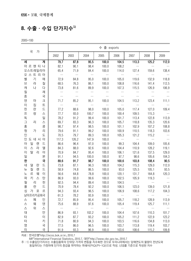#### **8. 수출 · 수입 단가지수1)**

2005=100

|                                | 수 출 exports |                  |               |           |                  |               |               |                 |  |  |
|--------------------------------|-------------|------------------|---------------|-----------|------------------|---------------|---------------|-----------------|--|--|
| 국<br>가                         | 2002        | 2003             | 2004          | 2005      | 2006             | 2007          | 2008          | 2009            |  |  |
| 계<br>세                         | 79.7        | 87.8             | 95.5          | 100.0     | 104.5            | 113.3         | 125.2         | 112.0           |  |  |
| 아 르 헨 티 나                      | 82.1        | 90.1             | 98.4          | 100.0     | 108.2            | $\ldots$      | $\cdots$      | $\ldots$        |  |  |
| 오스트레일리아                        | 65.4        | 71.9             | 84.4          | 100.0     | 114.0            | 127.4         | 159.6         | 138.4           |  |  |
| 오 스 트 리 아                      | $\sim$      | $\sim$ 100 $\,$  | $\sim$ $\sim$ | $\ldots$  | $\sim$           | $\ldots$      | $\ldots$      | $\ldots$        |  |  |
| 벨<br>기<br>에                    | 72.9        | 84.8             | 95.0          | 100.0     | 105.0            | 119.6         | 132.9         | 118.8           |  |  |
| 라<br>질<br>브                    | 68.5        | 76.3             | 86.1          | 100.0     | 108.8            | 116.6         | 141.4         | 112.5           |  |  |
| 나<br>다<br>개                    | 73.8        | 81.6             | 89.9          | 100.0     | 107.3            | 115.5         | 126.9         | 106.9           |  |  |
| 칠<br>레                         | $\ldots$    | $\sim$ 100 $\mu$ | $\sim$        | $\ldots$  | $\ldots$         | $\ldots$      | $\ldots$      | $\ddotsc$       |  |  |
| 중<br>국                         | $\ldots$    | $\ldots$         | $\ldots$      | $\sim$    | $\ldots$         | $\ldots$      | $\ldots$      | $\dots$         |  |  |
| $\exists$<br>덴<br>마            | 71.7        | 85.2             | 95.1          | 100.0     | 104.5            | 113.2         | 123.4         | 111.1           |  |  |
| 집<br>亘<br> 0                   | $\cdots$    | $\sim$           | $\sim$        | $\ddotsc$ | $\ldots$         | $\ldots$      | $\ldots$      | $\ddotsc$       |  |  |
| $\equiv$<br>란<br>핀             | 77.2        | 88.6             | 98.0          | 100.0     | 105.0            | 117.4         | 127.0         | 109.4           |  |  |
| 프<br>랑<br>스                    | 77.7        | 93.0             | 100.7         | 100.0     | 100.4            | 109.5         | 115.3         | $\sim$ 100 $\,$ |  |  |
| 일<br>독                         | 78.2        | 91.2             | 99.4          | 100.0     | 101.7            | 113.4         | 122.8         | 113.9           |  |  |
| $\Box$<br>스<br>리               | 69.7        | 83.3             | 96.3          | 100.0     | 105.7            | 118.8         | 135.3         | 120.6           |  |  |
| 홍<br>콩                         | 98.7        | 97.4             | 98.5          | 100.0     | 101.1            | 102.9         | 107.2         | 108.8           |  |  |
| 리<br>헝<br>가                    | 79.6        | 91.1             | 99.2          | 100.0     | 100.9            | 110.5         | 118.3         | 103.6           |  |  |
| 도<br>인                         | 70.5        | 79.7             | 89.3          | 100.0     | 105.3            | 121.2         | 115.2         | $\sim$ $\sim$   |  |  |
| 인 도 네 시 아                      | 117.3       | 126.2            | 147.9         | 100.0     | $\sim$ 100 $\mu$ | $\sim$ $\sim$ | $\sim$ $\sim$ | $\sim$          |  |  |
| 드<br>아<br>일<br>랜               | 86.6        | 96.4             | 97.0          | 100.0     | 99.3             | 104.4         | 109.0         | 105.6           |  |  |
| 엘<br>스<br>라<br> 0              | 84.3        | 88.0             | 92.6          | 100.0     | 104.4            | 110.9         | 128.2         | 119.1           |  |  |
| 탈<br>라<br>0 <sup>1</sup><br> 0 | 70.9        | 84.7             | 95.4          | 100.0     | 106.1            | 121.6         | 137.5         | 129.0           |  |  |
| 본<br>일                         | 91.1        | 94.5             | 100.0         | 100.0     | 97.7             | 98.6          | 105.6         | 104.3           |  |  |
| 국<br>한                         | 89.6        | 91.7             | 98.7          | 100.0     | 100.6            | 103.8         | 108.4         | 90.5            |  |  |
| $\equiv$<br>덜<br>네<br>란        | 73.8        | 87.1             | 96.3          | 100.0     | 104.2            | 115.3         | 129.0         | 112.0           |  |  |
| $\equiv$<br>질<br>랜<br>뉴        | 58.9        | 74.8             | 86.5          | 100.0     | 93.0             | 125.5         | 105.1         | 93.5            |  |  |
| 르<br>웨<br>노<br> 0              | 56.6        | 64.8             | 78.8          | 100.0     | 120.1            | 131.7         | 164.8         | 120.3           |  |  |
| 키<br>스<br>탄<br>파               | 86.9        | 93.0             | 99.6          | 100.0     | 102.5            | 105.9         | 119.3         | $\ldots$        |  |  |
| 필<br>핀<br>리                    | 92.5        | 94.4             | 89.4          | 100.0     | 104.5            | $\ldots$      | $\sim$ $\sim$ | $\ldots$        |  |  |
| $\equiv$<br>폴<br>란             | 70.9        | 78.4             | 92.2          | 100.0     | 106.5            | 123.0         | 139.0         | 121.8           |  |  |
| 르<br>싱<br>가 포                  | 94.3        | 93.4             | 96.5          | 100.0     | 106.9            | 108.6         | 117.2         | 104.3           |  |  |
| 남아프리카공화국                       | 61.3        | 78.2             | 93.9          | 100.0     | $\sim$ $\sim$    | $\ldots$      | $\ldots$      | $\ldots$        |  |  |
| 페<br>인<br>스                    | 72.7        | 85.9             | 95.4          | 100.0     | 105.7            | 118.2         | 128.9         | 113.9           |  |  |
| 덴<br>웨<br>스                    | 75.6        | 88.9             | 97.6          | 100.0     | 105.4            | 119.4         | 125.7         | 111.1           |  |  |
| 위<br>스<br>스                    |             | $\cdots$         |               |           |                  | $\ldots$      |               | $\ldots$        |  |  |
| 만<br>대                         | 86.9        | 93.1             | 102.2         | 100.0     | 104.4            | 107.6         | 110.3         | 101.7           |  |  |
| 0 <br>타                        | 82.9        | 87.7             | 93.2          | 100.0     | 105.2            | 111.2         | 122.9         | 123.2           |  |  |
| 터<br>키                         | 71.8        | 80.9             | 94.3          | 100.0     | 103.5            | 116.6         | 134.8         | 113.0           |  |  |
| 영<br>국                         | 77.5        | 86.0             | 96.5          | 100.0     | 103.7            | 113.8         | 119.4         | 103.7           |  |  |
| 국<br>미                         | 91.9        | 93.3             | 96.9          | 100.0     | 103.6            | 108.6         | 115.2         | 109.8           |  |  |

자료 : 한국은행「http://ecos.bok.or.kr」 2010.7

IMF「International Financial Statistics」 2010.7, 대만「http://www.cbc.gov.tw」 2010.7

주 : 1) 수출입단가지수는 수출입품목의 단위당 가격의 변동을 지수화한 것으로 우리나라에서는 당해연도의 물량이 전년도와 동일하다는 가정하에 단가의 증감을 파악하는 파쉐식(PtQt/Pt-1Qt)으로 작성. US\$를 기준으로 작성된 지수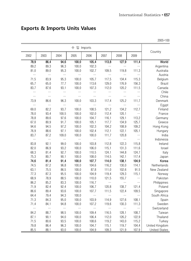#### **Exports & Imports Units Values**

|              | 수 입 Imports      |              |                |                   |                   |                   |                   |                          |  |
|--------------|------------------|--------------|----------------|-------------------|-------------------|-------------------|-------------------|--------------------------|--|
| 2002         | 2003             | 2004         | 2005           | 2006              | 2007              | 2008              | 2009              | Country                  |  |
| 78.9         | 86.4             | 94.6         | 100.0          | 105.4             | 113.8             | 127.9             | 111.4             | World                    |  |
| 89.2         | 89.3             | 96.3         | 100.0          | 102.3             | $\ldots$          | $\cdots$          | $\ddotsc$         | Argentina                |  |
| 81.0         | 89.0             | 95.3         | 100.0          | 102.7             | 109.5             | 119.8             | 111.3             | Australia                |  |
|              | $\ldots$         | $\ldots$     | $\ldots$       | $\ldots$          | $\ldots$          | $\cdots$          | $\cdots$          | Austria                  |  |
| 71.5         | 83.9             | 95.3         | 100.0          | 105.7             | 117.5             | 134.4             | 115.3             | Belgium                  |  |
| 65.7         | 65.0             | 77.7         | 100.0          | 113.6             | 129.0             | 176.9             | 156.3             | Brazil                   |  |
| 83.7         | 87.6             | 93.1         | 100.0          | 107.3             | 112.0             | 120.2             | 111.5             | Canada                   |  |
|              | $\cdots$         | $\ldots$     | $\ldots$       | $\ldots$          | $\ldots$          |                   | $\ldots$          | Chile                    |  |
| $\ldots$     | $\ldots$         | $\ldots$     | $\ldots$       | $\ldots$          | $\ddotsc$         | $\ldots$          | $\ldots$          | China                    |  |
| 73.9         | 86.6             | 96.3         | 100.0          | 103.3             | 117.4             | 125.2             | 111.7             | Denmark                  |  |
| $\ldots$     | $\ldots$         | $\ldots$     | $\ddotsc$      | $\ldots$          | $\ldots$          | $\cdots$          | $\ldots$          | Egypt                    |  |
| 69.0         | 82.2             | 93.7         | 100.0          | 108.5             | 121.2             | 134.2             | 112.7             | Finland                  |  |
| 78.0         | 93.4             | 100.5        | 100.0          | 102.0             | 112.4             | 120.1             | $\ldots$          | France                   |  |
| 78.8         | 89.6             | 97.6         | 100.0          | 104.7             | 116.1             | 129.1             | 113.2             | Germany                  |  |
| 67.0         | 80.9             | 91.7         | 100.0          | 105.1             | 117.7             | 134.9             | 125.7             | Greece                   |  |
| 94.6         | 94.5             | 97.2         | 100.0          | 102.3             | 104.2             | 108.9             | 109.2             | Hong Kong                |  |
| 76.9         | 88.6             | 97.1         | 100.0          | 102.4             | 112.1             | 122.1             | 105.1             | Hungary                  |  |
| 83.7         | 87.2             | 109.0        | 100.0          | 100.0             | 111.7             | 120.8             | $\ldots$          | India                    |  |
| $\ldots$     | $\ldots$         | $\ddotsc$    | $\cdots$       | $\ldots$          | $\ldots$          | $\ldots$          | $\ldots$          | Indonesia                |  |
| 83.8         | 92.1             | 99.0         | 100.0          | 103.8             | 112.8             | 122.3             | 115.8             | Ireland                  |  |
| 82.0         | 86.9             | 93.2         | 100.0          | 106.0             | 115.1             | 131.3             | 111.6             | Israel                   |  |
| 68.3         | 81.4             | 92.7         | 100.0          | 110.5             | 124.1             | 144.8             | 124.7             | Italy                    |  |
| 75.3         | 80.7             | 90.1         | 100.0          | 108.0             | 114.5             | 142.1             | 117.4             | Japan                    |  |
| 74.6         | 81.4             | 91.4         | 100.0          | 107.7             | 114.0             | 138.1             | 104.9             | Korea                    |  |
| 74.5         | 87.2             | 96.8         | 100.0          | 104.6             | 116.2             | 130.0             | 114.1             | Netherlands              |  |
| 63.1         | 75.5             | 86.5         | 100.0          | 87.8              | 111.0             | 102.6             | 91.5              | New Zealand              |  |
| 77.3         | 87.3             | 95.5         | 100.0          | 104.9             | 119.4             | 129.3             | 115.1             | Norway                   |  |
| 68.9         | 78.9             | 88.5         | 100.0          | 110.0             | 121.5             | 155.7             |                   | Pakistan                 |  |
| 86.2         | 85.2             | 83.3         | 100.0          | 116.7             | $\ldots$          | $\ddotsc$         | $\ldots$          | Philippines              |  |
| 71.9         | 82.4             | 92.4         | 100.0          | 106.7             | 120.8             | 138.7             | 121.4             | Poland                   |  |
| 86.6         | 89.4             | 93.6         | 100.0          | 107.7<br>$\ldots$ | 111.5<br>$\ldots$ | 122.4<br>$\ldots$ | 109.5<br>$\ldots$ | Singapore                |  |
| 64.4         | 79.4             | 94.3         | 100.0          |                   |                   |                   |                   | South Africa             |  |
| 71.3         | 84.3             | 95.0         | 100.0          | 103.9             | 114.9             | 127.6             | 108.1             | Spain                    |  |
| 71.4<br>     | 84.1<br>$\cdots$ | 94.8<br>     | 100.0<br>      | 107.2<br>$\ldots$ | 119.6<br>         | 130.3<br>         | 111.3<br>$\ldots$ | Sweden<br>Switzerland    |  |
|              |                  |              |                |                   |                   |                   |                   |                          |  |
| 84.2         | 88.7             | 98.5         | 100.0          | 109.4             | 116.5             | 128.1             | 108.7             | Taiwan                   |  |
| 87.1<br>71.5 | 90.1<br>80.6     | 94.0<br>93.5 | 100.0          | 106.4             | 112.0             | 126.2             | 122.9             | Thailand                 |  |
| 79.8         | 86.4             | 96.3         | 100.0<br>100.0 | 108.6<br>104.7    | 119.2<br>115.1    | 143.0<br>119.7    | 115.2<br>104.4    | Turkey<br>United Kingdom |  |
| 85.5         | 88.1             | 93.0         | 100.0          | 104.9             | 109.3             | 121.9             | 107.9             | <b>United States</b>     |  |
|              |                  |              |                |                   |                   |                   |                   |                          |  |

2005=100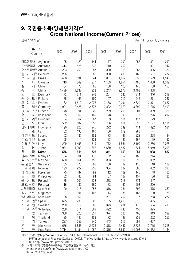#### **9. 국민총소득(당해년가격)1) Gross National Income(Current Prices)**

단위 : 10억 달러 Unit : In billion US dollars

| 국<br>가<br>Country                                                 | 2002      | 2003         | 2004         | 2005         | 2006       | 2007         | 2008         | 2009         |
|-------------------------------------------------------------------|-----------|--------------|--------------|--------------|------------|--------------|--------------|--------------|
| 아르헨티나<br>Argentina                                                | 95        | 122          | 144          | 177          | 209        | 257          | 321          | 299          |
| 오스트레일리아<br>Australia                                              | 414       | 525          | 636          | 710          | 752        | 910          | 1,001        | 947          |
| 오스트리아 <sup>3)</sup> Austria                                       | 203       | 250          | 287          | 300          | 318        | 363          | 406          | 381          |
| 에 <sup>3)</sup> Belgium<br>기<br>벨                                 | 256       | 316          | 365          | 380          | 403        | 463          | 507          | 472          |
| 브<br>라<br>질<br><b>Brazil</b>                                      | 488       | 534          | 644          | 857          | 1,062      | 1,338        | 1,599        | 1,540        |
| 나<br>개<br>다<br>Canada                                             | 719       | 849          | 977          | 1,109        | 1,254      | 1,408        | 1,488        | 1,319        |
| 칠<br>레<br>Chile                                                   | 64        | 70           | 88           | 108          | 128        | 146          | 158          | 153          |
| 중<br>국<br>China                                                   | 1,439     | 1,633        | 1,928        | 2,247        | 2,673      | 3,408        | 4,358        | $\ldots$     |
| 덴<br>$\exists$<br>마<br>Denmark                                    | 172       | 211          | 246          | 261          | 280        | 314          | 346          | 319          |
| 란<br>$E$ <sup>3)</sup> Finland<br>핀                               | 135       | 163          | 190          | 197          | 210        | 246          | 271          | 237          |
| 랑<br>$\triangle$ <sup>3)</sup> France<br>프                        | 1,462     | 1,812        | 2,076        | 2,158        | 2,291      | 2,620        | 2,871        | 2,687        |
| 독<br>일 $3$<br>Germany                                             | 1,991     | 2,425        | 2,773        | 2,822        | 2,979      | 3,390        | 3,715        | 3,403        |
| $\triangle$ <sup>3)</sup><br>$\mathfrak{\text{I}}$<br>리<br>Greece | 148       | 194          | 229          | 239          | 258        | 301          | 339          | 321          |
| 홍<br>콩<br>Hong Kong                                               | 165       | 162          | 169          | 178          | 193        | 213          | 226          | 217          |
| 헝<br>리 2)<br>가<br>Hungary                                         | 54        | 67           | 87           | 103          | 111        | 117          | 129          | $\ldots$     |
| 인<br>도<br>India                                                   | 502       | 587          | 650          | 766          | 864        | 1,093        | 1,197        | 1,191        |
| 인도네시아<br>Indonesia                                                | 190       | 226          | 245          | 272          | 349        | 414          | 492          | 521          |
| 란<br> 0 <br>Iran                                                  | 132       | 133          | 160          | 186          | 219        | 283          |              | $\ldots$     |
| 아일랜드 <sup>3)</sup> Ireland                                        | 102       | 135          | 159          | 173          | 193        | 222          | 228          | 184          |
| 이스라엘                                                              | 108       | 114          | 123          | 133          | 145        | 167          | 199          | 190          |
| Israel<br>이탈리아 <sup>3)</sup> Italy                                |           |              |              |              |            |              |              |              |
| 본                                                                 | 1,209     | 1,495        | 1,719        | 1,772        | 1,861      | 2,100        | 2,266        | 2,075        |
| 일<br>Japan<br>한<br>국                                              | 3,984     | 4,303<br>644 | 4,695<br>725 | 4,660<br>844 | 4,487      | 4,524        | 5,049<br>938 | 5,206<br>837 |
| Korea<br>말레이시아                                                    | 576<br>94 | 104          | 118          | 132          | 953<br>152 | 1,051<br>182 | 214          | $\ldots$     |
| Malaysia<br>시 코 <sup>2)</sup> Mexico<br>멕                         |           |              |              |              |            |              |              | $\ldots$     |
|                                                                   | 600       | 664          | 756          | 833          | 911        | 990          | 1,062        |              |
| 뉴질랜드<br>New Zealand                                               | 55        | 73           | 89           | 100          | 97         | 115          | 118          | 107          |
| 노르웨이<br>Norway                                                    | 193       | 227          | 259          | 304          | 337        | 386          | 452          | 390          |
| 파키스탄<br>Pakistan                                                  | 75        | 87           | 99           | 112          | 129        | 145          | 148          | 160          |
| 필<br>핀<br>리<br>Philippines                                        | 82        | 85           | 94           | 107          | 127        | 157          | 186          | 185          |
| $\equiv$ <sup>2)</sup><br>폴<br>란<br>Poland                        | 185       | 209          | 238          | 278          | 318        | 374          | 447          | <br>$\ldots$ |
| 포르투갈 <sup>2)</sup><br>Portugal                                    | 116       | 132          | 160          | 183          | 190        | 203          | 220          |              |
| 사우디아라비아<br>Saudi Arabia                                           | 190       | 215          | 253          | 316          | 361        | 392          | 475          | 369          |
| 싱가포르<br>Singapore                                                 | 87        | 91           | 103          | 114          | 135        | 168          | 190          | 178          |
| 남아프리카공화국<br>South Africa                                          | 108       | 162          | 212          | 237          | 252        | 277          | 268          | 277          |
| $Q^{2}$<br>스 페<br>Spain                                           | 625       | 738          | 922          | 1,105        | 1,210      | 1,316        | 1,455        | $\cdots$     |
| 웨<br>덴<br>Sweden<br>스                                             | 250       | 319          | 362          | 373          | 404        | 473          | 504          | 413          |
| 위<br>$\triangle$ <sup>2)</sup><br>스<br>Switzerland                | 268       | 311          | 369          | 422          | 440        | 450          | 425          | $\ldots$     |
| 대<br>만<br>Taiwan                                                  | 308       | 320          | 351          | 374          | 386        | 403          | 413          | 392          |
| 0 <br>타<br>Thailand                                               | 125       | 140          | 159          | 172          | 199        | 238          | 262          | 252          |
| $7 ^{2}$<br>터<br>Turkey                                           | 227       | 252          | 340          | 443          | 516        | 591          | 667          | $\ldots$     |
| g<br>국<br>United Kingdom                                          | 1,636     | 1,888        | 2,235        | 2,318        | 2,457      | 2,836        | 2,715        | 2,218        |
| 국<br>미<br><b>United States</b>                                    | 10,714    | 11,194       | 11,967       | 12,815       | 13,692     | 14,208       | 14,482       | 14,144       |

자료 : 한국은행「http://ecos.bok.or.kr」 2010.8, IMF「International Financial Statistics」 2010.8

 IMF「International Financial Statistics」 2010.8, The World Bank「http://www.worldbank.org」 2010.8 대만 http://www.stat.gov.tw」 2010.8

주 : 1) 자국화폐 국민총소득(GNI)을 기간평균환율로 나누어 계상

2) The World Bank「http://www.worldbank.org」자료

3) Euro화에 의한 자료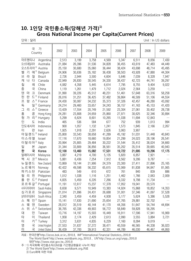#### **10. 1인당 국민총소득(당해년 가격)1) Gross National Income per Capita(Current Prices)**

| 단위 : 달러 |  |  |
|---------|--|--|

Unit : In US dollars

| 국<br>가<br>Country                                          | 2002   | 2003   | 2004   | 2005   | 2006   | 2007   | 2008     | 2009     |
|------------------------------------------------------------|--------|--------|--------|--------|--------|--------|----------|----------|
| 아르헨티나<br>Argentina                                         | 2,513  | 3,199  | 3,758  | 4,569  | 5,347  | 6,511  | 8,056    | 7,430    |
| 오스트레일리아<br>Australia                                       | 21,084 | 26,396 | 31,536 | 34,828 | 36,455 | 43,619 | 47,483   | 44,449   |
| 오스트리아 <sup>3)</sup> Austria                                | 25,150 | 30,680 | 35,060 | 36,444 | 38,424 | 43,698 | 48,714   | 45,495   |
| $O  ^{3}$<br>벨<br>기<br>Belgium                             | 24,906 | 30,636 | 35,182 | 36,438 | 38,503 | 43,928 | 47,880   | 44,304   |
| 라<br>질<br>브<br><b>Brazil</b>                               | 2,726  | 2,944  | 3,500  | 4,604  | 5,646  | 7,039  | 8,328    | 7,947    |
| 나<br>다<br>개<br>Canada                                      | 22,949 | 26,830 | 30,545 | 34,330 | 38,437 | 42,723 | 44,741   | 39,297   |
| 칠<br>레<br>Chile                                            | 4,082  | 4,358  | 5,445  | 6,614  | 7,795  | 8,755  | 9,404    | 9,022    |
| 중<br>국<br>China                                            | 1,119  | 1,261  | 1,479  | 1,712  | 2,024  | 2,564  | 3,259    |          |
| 덴<br>마<br>크<br>Denmark                                     | 31,990 | 39,226 | 45,512 | 48,231 | 51,461 | 57,648 | 63,316   | 58,258   |
| $E$ <sup>3)</sup> Finland<br>란<br>핀                        | 26,016 | 31,251 | 36,425 | 37,482 | 39,864 | 46,509 | 51,106   | 44,554   |
| 랑<br>$\triangle$ <sup>3)</sup> France<br>프                 | 24,430 | 30,087 | 34,232 | 35,373 | 37,326 | 42,457 | 46,280   | 43,092   |
| 일 $3)$<br>독<br>Germany                                     | 24,214 | 29,460 | 33,657 | 34,243 | 36,157 | 41,163 | 45,153   | 41,420   |
| $\triangle$ <sup>3)</sup><br>$\mathfrak{1}$<br>리<br>Greece | 13,429 | 17,554 | 20,749 | 21,592 | 23,304 | 27,061 | 30,402   | 28,738   |
| 홍<br>콩<br>Hong Kong                                        | 24,281 | 23,808 | 24,659 | 25,860 | 27,971 | 30,625 | 32,346   | 30,894   |
| 헝<br>리 <sup>2)</sup> Hungary<br>가                          | 5,299  | 6,624  | 8,601  | 10,265 | 11,038 | 11,694 | 12,843   | $\cdots$ |
| 인<br>도<br>India                                            | 465    | 536    | 584    | 677    | 752    | 939    | 1,013    | 994      |
| 인도네시아<br>Indonesia                                         | 900    | 1,057  | 1,132  | 1,241  | 1,573  | 1,845  | 2,166    | 2,267    |
| 0 <br>란<br>Iran                                            | 1,925  | 1,918  | 2,291  | 2,626  | 3,063  | 3,907  | $\cdots$ |          |
| 아일랜드 $3$<br>Ireland                                        | 25,800 | 33,543 | 38,658 | 41,289 | 45,192 | 51,031 | 51,448   | 40,843   |
| 이스라엘<br>Israel                                             | 17,116 | 17,670 | 18,660 | 19,854 | 21,299 | 24,023 | 28,196   | 26,541   |
| 이탈리아3)<br>Italy                                            | 20,994 | 25,805 | 29,484 | 30,222 | 31,544 | 35,412 | 38,024   | 34,660   |
| 일<br>본<br>Japan                                            | 31,344 | 33,809 | 36,856 | 36,561 | 35,202 | 35,514 | 39,665   | 40,943   |
| 한<br>국<br>Korea                                            | 12,100 | 13,460 | 15,082 | 17,531 | 19,722 | 21,695 | 19,296   | 17,175   |
| 말레이시아<br>Malaysia                                          | 3,887  | 4,219  | 4,700  | 5,135  | 5,820  | 6,857  | 7,921    | $\cdots$ |
| 시 코 <sup>2)</sup><br>멕<br>Mexico                           | 5,881  | 6,436  | 7,254  | 7,912  | 8,562  | 9,206  | 9,787    | $\ldots$ |
| 뉴질랜드<br>New Zealand                                        | 13,869 | 18,144 | 21,906 | 24,379 | 23,300 | 27,411 | 27,896   | 25,165   |
| 노르웨이<br>Norway                                             | 42,422 | 49,598 | 56,332 | 65,615 | 72,069 | 81,838 | 94,847   | 81,065   |
| 파키스탄<br>Pakistan                                           | 483    | 549    | 610    | 672    | 761    | 840    | 839      | 886      |
| 리<br>핀<br>필<br>Philippines                                 | 1,012  | 1,038  | 1,116  | 1,251  | 1,462  | 1,766  | 2,063    | 2,009    |
| $\mathbf{E}^{2}$ Poland<br>란<br>폴                          | 4,835  | 5,459  | 6,226  | 7,266  | 8,332  | 9,798  | 11,734   |          |
| 포르투갈 <sup>2)</sup> Portugal                                | 11,191 | 12,617 | 15,237 | 17,378 | 17,952 | 19,041 | 20,570   | $\cdots$ |
| 사우디아라비아<br>Saudi Arabia                                    | 8,658  | 9,571  | 10,949 | 13,383 | 14,924 | 15,868 | 18,852   | 14,353   |
| 싱가포르<br>Singapore                                          | 21,014 | 21,896 | 24,431 | 26,688 | 31,001 | 37,346 | 41,097   | 37,528   |
| 남아프리카공화국<br>South Africa                                   | 2,340  | 3,459  | 4,459  | 4,938  | 5,177  | 5,624  | 5,386    | 5,528    |
| 스 페 인 2)<br>Spain                                          | 15,141 | 17,630 | 21,690 | 25,654 | 27,765 | 29,881 | 32,702   |          |
| 웨<br>Sweden<br>덴<br>스                                      | 28,012 | 35,519 | 40,144 | 41,170 | 44,356 | 51,647 | 54,744   | 44,694   |
| 위<br>$\triangle$ <sup>2)</sup><br>스<br>Switzerland         | 36,765 | 42,336 | 49,903 | 56,772 | 58,849 | 59,828 | 56,295   |          |
| 만<br>대<br>Taiwan                                           | 13,716 | 14,197 | 15,503 | 16,449 | 16,911 | 17,596 | 17,941   | 16,969   |
| 0 <br>타<br>Thailand                                        | 1,958  | 2,174  | 2,429  | 2,613  | 2,990  | 3,555  | 3,884    | 3,721    |
| $7 ^{2}$<br>Turkey<br>터                                    | 3,312  | 3,631  | 4,835  | 6,229  | 7,160  | 8,094  | 9,019    |          |
| 영<br>United Kingdom<br>국                                   | 27,553 | 31,637 | 37,272 | 38,471 | 40,559 | 46,565 | 44,338   | 36,023   |
| 미<br>국<br><b>United States</b>                             | 36,439 | 37,700 | 39,913 | 42,331 | 44,789 | 46,030 | 46,467   | 44,950   |

자료 : 한국은행「http://ecos.bok.or.kr」 2010.8, IMF「International Financial Statistics」 2010.8 The World Bank「http://www.worldbank.org」 2010.8 , UN「http://esa.un.org/unpp」 2010.8 대만「http://www.stat.gov.tw」 2010.8

주 : 1) 자국화폐 국민총소득(GNI)을 기간평균환율로 나누어 계상

2) The World Bank「http://www.worldbank.org」자료

3) Euro화에 의한 자료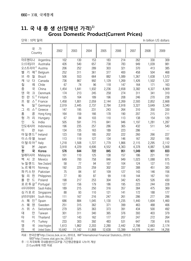#### **11. 국 내 총 생 산(당해년 가격)1) Gross Domestic Product(Current Prices)**

단위 : 10억 달러 In billion US dollars

| 가<br>국<br>Country                                          | 2002   | 2003   | 2004   | 2005   | 2006   | 2007   | 2008   | 2009     |
|------------------------------------------------------------|--------|--------|--------|--------|--------|--------|--------|----------|
| 아르헨티나<br>Argentina                                         | 102    | 130    | 153    | 183    | 214    | 262    | 330    | 309      |
| 오스트레일리아<br>Australia                                       | 426    | 540    | 657    | 738    | 783    | 949    | 1,039  | 981      |
| 오스트리아 <sup>2)</sup> Austria                                | 206    | 252    | 289    | 303    | 321    | 370    | 413    | 385      |
| $O  ^{2}$<br>가<br>Belgium<br>벨                             | 252    | 311    | 361    | 377    | 400    | 458    | 504    | 468      |
| 라<br>질<br>브<br><b>Brazil</b>                               | 506    | 553    | 664    | 882    | 1,089  | 1,367  | 1,638  | 1,572    |
| 개<br>나<br>다<br>Canada                                      | 736    | 867    | 992    | 1,129  | 1,269  | 1,426  | 1,502  | 1,337    |
| 칠<br>레<br>Chile                                            | 67     | 74     | 96     | 118    | 147    | 164    | 171    | 163      |
| 중<br>국<br>China                                            | 1,454  | 1,641  | 1,932  | 2,236  | 2,658  | 3,382  | 4,327  | 4,909    |
| 덴<br>$\exists$<br>마<br>Denmark                             | 174    | 213    | 245    | 258    | 274    | 311    | 341    | 310      |
| 란<br>$\equiv$ <sup>2)</sup><br>핀<br>Finland                | 135    | 164    | 189    | 196    | 208    | 246    | 270    | 238      |
| $\triangle^2$<br>랑<br>프<br>France                          | 1,458  | 1,801  | 2,059  | 2,144  | 2,269  | 2,593  | 2,852  | 2,668    |
| 일 $^{2)}$<br>독<br>Germany                                  | 2,019  | 2,445  | 2,737  | 2,784  | 2,918  | 3,327  | 3,649  | 3,340    |
| $\triangle$ <sup>2)</sup><br>$\mathfrak{1}$<br>라<br>Greece | 147    | 195    | 231    | 243    | 264    | 310    | 350    | 330      |
| 홍<br>콩<br>Hong Kong                                        | 164    | 159    | 166    | 178    | 190    | 207    | 215    | 211      |
| 헝<br>가<br>리<br>Hungary                                     | 67     | 84     | 103    | 110    | 113    | 138    | 154    | 129      |
| 인<br>도<br>India                                            | 505    | 591    | 715    | 841    | 946    | 1,197  | 1,281  | 1,287    |
| 인도네시아<br>Indonesia                                         | 196    | 235    | 257    | 286    | 365    | 432    | 511    | 540      |
| 0 <br>란<br>Iran                                            | 134    | 135    | 163    | 189    | 223    | 286    |        | $\ldots$ |
| 아일랜드 <sup>2)</sup> Ireland                                 | 123    | 158    | 185    | 202    | 222    | 260    | 266    | 227      |
| 이스라엘<br>Israel                                             | 113    | 119    | 127    | 134    | 146    | 167    | 202    | 195      |
| 이탈리아 <sup>2)</sup> Italy                                   | 1,218  | 1,508  | 1,727  | 1,779  | 1,866  | 2,115  | 2,295  | 2,112    |
| 일<br>본<br>Japan                                            | 3,918  | 4,229  | 4,606  | 4,552  | 4,363  | 4,378  | 4,887  | 5,068    |
| 하<br>국<br>Korea                                            | 576    | 644    | 722    | 845    | 951    | 1,049  | 931    | 833      |
| 말레이시아<br>Malaysia                                          | 101    | 110    | 125    | 138    | 157    | 186    | 221    | 191      |
| 시 코<br>멕<br>Mexico                                         | 649    | 700    | 758    | 846    | 949    | 1,023  | 1,088  | 875      |
| 뉴질랜드<br>New Zealand                                        | 58     | 77     | 94     | 107    | 104    | 124    | 127    | 115      |
| 노르웨이<br>Norway                                             | 192    | 225    | 259    | 302    | 337    | 388    | 451    | 383      |
| 파키스탄<br>Pakistan                                           | 75     | 84     | 97     | 109    | 127    | 143    | 146    | 156      |
| 필<br>리<br>핀<br>Philippines                                 | 77     | 80     | 87     | 99     | 118    | 144    | 167    | 161      |
| $\equiv$<br>폴<br>란<br>Poland                               | 198    | 217    | 253    | 304    | 342    | 425    | 526    | 430      |
| 포르투갈 $2$<br>Portugal                                       | 127    | 156    | 179    | 186    | 195    | 223    | 244    | 228      |
| 사우디아라비아<br>Saudi Arabia                                    | 189    | 215    | 250    | 316    | 357    | 384    | 475    | 369      |
| 싱가포르<br>Singapore                                          | 88     | 93     | 110    | 121    | 141    | 172    | 188    | 177      |
| 남아프리카공화국<br>South Africa                                   | 111    | 167    | 216    | 247    | 261    | 286    | 277    | 286      |
| 인 $^{2}$<br>Spain<br>스 페                                   | 686    | 884    | 1,045  | 1,130  | 1,235  | 1,440  | 1,604  | 1,460    |
| 웨<br>덴<br>Sweden<br>스                                      | 251    | 315    | 362    | 371    | 399    | 463    | 488    | 406      |
| 위<br>스<br>스<br>Switzerland                                 | 279    | 325    | 363    | 373    | 391    | 434    | 500    | 492      |
| 대<br>만<br>Taiwan                                           | 301    | 311    | 340    | 365    | 376    | 393    | 403    | 379      |
| 타<br> 0 <br>Thailand                                       | 127    | 143    | 162    | 177    | 207    | 247    | 272    | 264      |
| 터<br>키<br>Turkey                                           | 233    | 303    | 392    | 483    | 531    | 647    | 730    | 616      |
| 영<br>국<br>United Kingdom                                   | 1,613  | 1,862  | 2,203  | 2,280  | 2,442  | 2,798  | 2,663  | 2,174    |
| 미<br>국<br><b>United States</b>                             | 10,642 | 11,142 | 11,868 | 12,638 | 13,399 | 14,078 | 14,441 | 14,256   |

자료 : 한국은행「http://ecos.bok.or.kr」 2010.8, IMF「International Financial Statistics」 2010.8 대만「http://www.stat.gov.tw」 2010.8

주 : 1) 자국화폐 국내총생산(GDP을 기간평균환율로 나누어 계상

2) Euro화에 의한 자료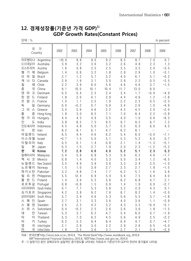#### **12. 경제성장률(기준년 가격 GDP)1) GDP Growth Rates(Constant Prices)**

| г |  |
|---|--|
|   |  |

단위 : % In percent 국 가 Country <sup>2002</sup> <sup>2003</sup> <sup>2004</sup> <sup>2005</sup> <sup>2006</sup> <sup>2007</sup> <sup>2008</sup> <sup>2009</sup> 아르헨티나 Argentina  $-10.9$  8.8 9.0 9.2 8.5 8.7 7.0 0.7 오스트레일리아 Australia | 3.9 3.2 3.6 3.2 2.6 4.8 2.3 1.3<br>오스트리아 Austria | 1.6 0.8 2.5 2.5 3.5 3.5 2.0 -3.5 오스트리아 Austria | 1.6 0.8 2.5 2.5 3.5 3.5 2.0 벨기에 Belgium 1. 4 0. 8 3. 2 1. 8 2. 8 2. 9 1. 0 -3. 1 브라질 Brazil | 2..7 1..2 5..7 3..2 4..0 6..1 5..1 -0..2. 캐나다 Canada | 2.9 1.9 3.1 3.0 2.8 2.2 0.5 —2.5 질 레 Chile | 2..2 3..9 6.0 5..6 4..6 4..6 3..7 −1..5 중 국 China | 9.1 10.0 10.1 10.4 11.7 13.0 9.0 … 덴 마 크 Denmark | 0.5 0.4 2.3 2.4 3.4 1.7 -0.9 -4.9<br>핀 란 드 Finland | 1.8 2.0 4.1 2.9 4.4 4.9 1.2 -7.8 핀란드 Finland | 1.8 2.0 4.1 2.9 4.4 4.9 1.2 -7.8 프 랑 스 France | 1. 0 1. 1 2. 5 1. 9 2. 2 2. 3 0. 5 −2. 3 독 일 Germany | 0.0 -0.2 0.7 0.9 3.4 2.6 1.0 -4.9 그 리 스 Greece | 3.4 5.9 4.6 2.2 4.5 4.5 2.0 -2.0 홍 콩 Hong Kong | 1.8 3.0 8.5 7.1 7.0 6.4 2.2 -2.8 헝가리 Hungary | 4.4 4.3 4.9 3.5 4.0 1.0 0.6 -6.3 인 도 India | 3.8 8.5 7.5 9.5 9.7 9.2 6.7 7.2 인도네시아 Indonesia | 4. 5 4. 8 5. 0 5. 7 5. 5 6. 3 6. 0 4. 5 이 란 Iran | 8.2 8.1 6.1 4.7 6.2 8.1 … … 아일랜드 Ireland | 6.5 4.4 4.6 6.2 5.4 6.0 −3.0 −7.1 이스라엘 Israel | −0. 7 1. 5 5. 0 5. 1 5. 3 5. 2 4. 0 0. 7 이탈리아 Italy | 0.5 0.1 1.4 0.8 2.1 1.4 −1.3 −5.1 일 본 Japan | 0.3 1.5 2.7 1.9 2.0 2.3 -1.2 -5.2 한 국 Korea | 7.2 2.8 4.6 4.0 5.2 5.1 2.3 0.2 말레이시아 Malaysia | 5.4 5.8 6.8 5.3 5.8 6.2 4.6 -1.7 멕 시 코 Mexico | 0.8 1.4 4.0 3.3 5.0 3.4 1.2 -6.5 뉴질랜드 New Zealand| 3.5 4.9 3.9 3.6 3.3 2.4 2.5 -1.0 노르웨이 Norway | 1.5 1.0 3.9 2.7 2.3 2.7 1.8 -1.5 파키스탄 Pakistan | 3.2 4.8 7.4 7.7 6.2 5.7 1.6 3.6 필리핀 Philippines | 5.5 12.4 6.9 5.4 5.4 7.5 6.4 4.0 폴란드 Poland | 1.4 3.9 5.3 3.6 6.2 6.8 4.7 2.1<br>포르투갈 Portugal 0.8 -0.8 1.5 0.9 1.4 1.9 0.0 -2.7 포르투갈 Portugal | 0.8 -0.8 1.5 0.9 1.4 1.9 0.0 -2.7 사우디아라비아 Saudi Arabia 0. 1 7. 7 5. 3 5. 6 3. 2 2. 0 4. 3 0. 1 싱가포르 Singapore| 4. 2 3. 8 9. 2 7. 6 8. 7 8. 2 1. 4 ─2. 0 남아프리카공화국 South Africa 3. 7 2. 9 4. 6 5. 3 5. 6 5. 5 3. 7 -1. 8 스페인 Spain | 2.7 3.1 3.3 3.6 4.0 3.6 1.1 −3.9 스웨덴 Sweden | 2.5 2.3 4.2 3.2 4.3 3.3 -0.4 -5.1 스 위 스 Switzerland | 0. 4 -0. 2 - 2. 5 - 2. 6 - 3. 6 - 3. 6 - 1. 8 - -1. 5 - 1. 5 대 만 Taiwan | 5.3 3.7 6.2 4.7 5.4 6.0 0.7 −1.9 타 이 Thailand | 5.3 7.0 6.2 4.5 5.6 4.9 2.5 -2.2 터 키 Turkey | 6.2 5.3 9.4 8.4 6.9 4.7 0.7 -4.7 영 국 United Kingdom | 2.1 2.8 3.0 2.2 2.9 2.6 0.5 -5.0 미 국 United States | 1.8 2.5 3.6 3.1 2.7 2.1 0.4 -2.4

자료 : 한국은행「http://ecos.bok.or.kr」 2010.8, The World Bank「http://www.worldbank.org」 2010.8

IMF「International Financial Statistics」 2010.8, 대만「http://www.stat.gov.tw」 2010.8

주 : 1) 일정기간 동안 경제규모의 실질적인 증가정도를 나타내는 지표로서 기준년가격 GDP의 전년비 증가율로 나타냄.